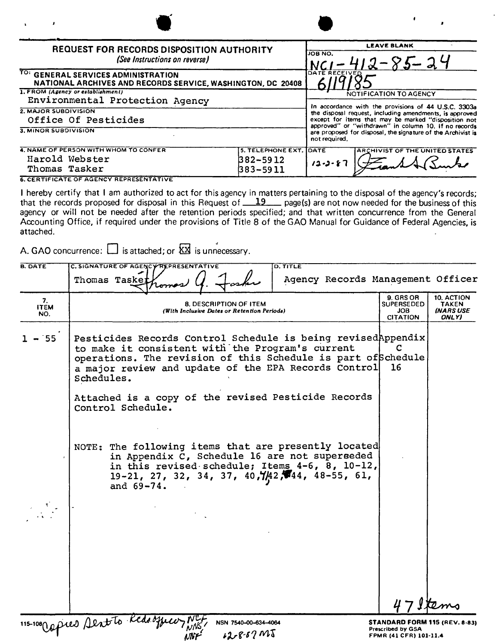| <b>REQUEST FOR RECORDS DISPOSITION AUTHORITY</b><br>(See Instructions on reverse)                  |                                                  | <b>LEAVE BLANK</b><br>JOB NO.<br>$-85 - 24$                                                                                                                                                                                     |  |
|----------------------------------------------------------------------------------------------------|--------------------------------------------------|---------------------------------------------------------------------------------------------------------------------------------------------------------------------------------------------------------------------------------|--|
| TO: GENERAL SERVICES ADMINISTRATION<br>NATIONAL ARCHIVES AND RECORDS SERVICE, WASHINGTON, DC 20408 |                                                  | DATE RECEIVED                                                                                                                                                                                                                   |  |
| 1. FROM (Agency or establishment)<br>Environmental Protection Agency                               |                                                  | NOTIFICATION TO AGENCY                                                                                                                                                                                                          |  |
| 2. MAJOR SUBDIVISION<br>Office Of Pesticides                                                       |                                                  | In accordance with the provisions of 44 U.S.C. 3303a<br>the disposal request, including amendments, is approved<br>except for items that may be marked "disposition not<br>approved" or "withdrawn" in column 10, if no records |  |
| 3. MINOR SUBDIVISION                                                                               |                                                  | are proposed for disposal, the signature of the Archivist is<br>not required.                                                                                                                                                   |  |
| 4. NAME OF PERSON WITH WHOM TO CONFER<br>Harold Webster<br>Thomas Tasker                           | 5. TELEPHONE EXT. JDATE<br>382–5912<br>1383-5011 | <b>ARCHIVIST OF THE UNITED STATES</b><br><b>ع -ر- 2</b> 1                                                                                                                                                                       |  |

NWML

**6. CERTIFICATE OF AGENCY REPRESENTATIVE** 

I hereby certify that I am authorized to act for this agency in matters pertaining to the disposal of the agency's records; that the records proposed for disposal in this Request of  $\underline{\quad 19} \dots$  page(s) are not now needed for the business of this agency or will not be needed after the retention periods specified; and that written concurrence from the General Accounting Office, if required under the provisions of Title 8 of the GAO Manual for Guidance of Federal Agencies, is attached.

A. GAO concurrence:  $\Box$  is attached; or  $\overline{\boxtimes}$  is unnecessary.

| <b>B. DATE</b>           | C. SIGNATURE OF AGENCY REPRESENTATIVE<br><b>D. TITLE</b><br>Thomas Taskei                                                                                                                                                                                                                                                                                                                                                                                                                            | Agency Records Management Officer                                                                                          |
|--------------------------|------------------------------------------------------------------------------------------------------------------------------------------------------------------------------------------------------------------------------------------------------------------------------------------------------------------------------------------------------------------------------------------------------------------------------------------------------------------------------------------------------|----------------------------------------------------------------------------------------------------------------------------|
| 7.<br><b>ITEM</b><br>NO. | 8. DESCRIPTION OF ITEM<br>(With Inclusive Dates or Retention Periods)                                                                                                                                                                                                                                                                                                                                                                                                                                | 9. GRS OR<br>10. ACTION<br><b>SUPERSEDED</b><br><b>TAKEN</b><br><b>INARS USE</b><br><b>JOB</b><br>ONLY)<br><b>CITATION</b> |
| $-155$                   | Pesticides Records Control Schedule is being revisedAppendix<br>to make it consistent with the Program's current<br>operations. The revision of this Schedule is part of Schedule<br>a major review and update of the EPA Records Control<br>Schedules.                                                                                                                                                                                                                                              | 16                                                                                                                         |
|                          | Attached is a copy of the revised Pesticide Records<br>Control Schedule.                                                                                                                                                                                                                                                                                                                                                                                                                             |                                                                                                                            |
|                          | NOTE: The following items that are presently located<br>in Appendix C, Schedule 16 are not superseded<br>in this revised schedule; Items $4-6$ , $8$ , $10-12$ ,<br>19-21, 27, 32, 34, 37, 40, $\frac{1}{4}$ $\frac{1}{4}$ $\frac{1}{4}$ $\frac{1}{4}$ $\frac{1}{4}$ $\frac{1}{4}$ $\frac{1}{4}$ $\frac{1}{4}$ $\frac{1}{4}$ $\frac{1}{4}$ $\frac{1}{4}$ $\frac{1}{4}$ $\frac{1}{4}$ $\frac{1}{4}$ $\frac{1}{4}$ $\frac{1}{4}$ $\frac{1}{4}$ $\frac{1}{4}$ $\frac{1}{4}$ $\frac{$<br>and $69 - 74$ . |                                                                                                                            |
|                          |                                                                                                                                                                                                                                                                                                                                                                                                                                                                                                      |                                                                                                                            |
|                          |                                                                                                                                                                                                                                                                                                                                                                                                                                                                                                      |                                                                                                                            |
|                          | 115-100 Oppies Sent to Red.<br>NSN 7540-00-634-4064<br>$128.8.67M_{\odot}$                                                                                                                                                                                                                                                                                                                                                                                                                           | <b>STANDARD FORM 115 (REV. 8-83)</b><br><b>Prescribed by GSA</b><br>FPMR (41 CFR) 101-11.4                                 |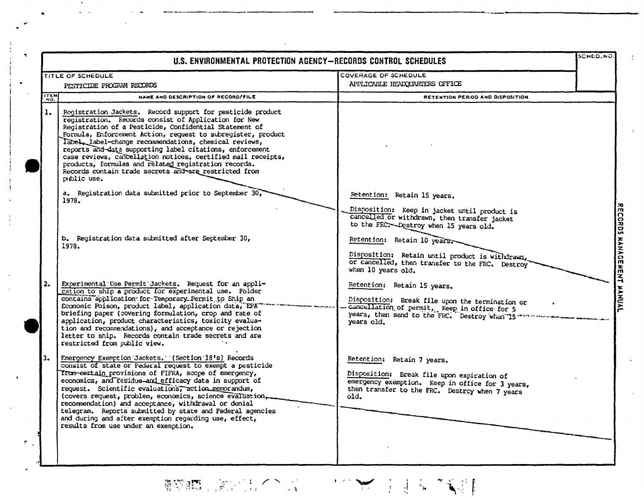|                | U.S. ENVIRONMENTAL PROTECTION AGENCY-RECORDS CONTROL SCHEDULES                                                                                                                                                                                                                                                                                                                                                                                                                                                                                                               |                                                                                                                                                                                                  | SCHED.NO. |
|----------------|------------------------------------------------------------------------------------------------------------------------------------------------------------------------------------------------------------------------------------------------------------------------------------------------------------------------------------------------------------------------------------------------------------------------------------------------------------------------------------------------------------------------------------------------------------------------------|--------------------------------------------------------------------------------------------------------------------------------------------------------------------------------------------------|-----------|
|                | TITLE OF SCHEDULE<br>PESTICIDE PROGRAM RECORDS                                                                                                                                                                                                                                                                                                                                                                                                                                                                                                                               | COVERAGE OF SCHEDULE<br>APPLICABLE HEADQUARTERS OFFICE                                                                                                                                           |           |
| <b>ITEM</b>    | NAME AND DESCRIPTION OF RECORD/FILE                                                                                                                                                                                                                                                                                                                                                                                                                                                                                                                                          | RETENTION PERIOD AND DISPOSITION                                                                                                                                                                 |           |
| $\mathbf{1}$ . | Registration Jackets. Record support for pesticide product<br>reqistration. Records consist of Application for New<br>Registration of a Pesticide, Confidential Statement of<br>Formula, Enforcement Action, request to subregister, product<br>Tabel, label-change recommendations, chemical reviews,<br>reports and data supporting label citations, enforcement<br>case reviews, cancellation notices, certified mail receipts,<br>products, formulas and related registration records.<br>Records contain trade secrets and are restricted from<br>public use.           |                                                                                                                                                                                                  |           |
|                | a. Registration data submitted prior to September 30,<br>1978.                                                                                                                                                                                                                                                                                                                                                                                                                                                                                                               | Retention: Retain 15 years.<br>Disposition: Keep in jacket until product is<br>cancelled or withdrawn, then transfer jacket<br>to the FRC. Destroy when 15 years old.                            |           |
|                | b. Registration data submitted after September 30,<br>1978.                                                                                                                                                                                                                                                                                                                                                                                                                                                                                                                  | Retention: Retain 10 years.<br>Disposition: Retain until product is withdrawn.<br>or cancelled, then transfer to the FRC. Destroy<br>when 10 years old.                                          |           |
| 2.             | Experimental Use Permit Jackets. Request for an appli-<br>cation to ship a product for experimental use. Folder<br>contains application for Temporary Permit to Ship an<br>Economic Poison, product label, application data, EPA<br>briefing paper (covering formulation, crop and rate of<br>application, product characteristics, toxicity evalua-<br>tion and recommendations), and acceptance or rejection<br>letter to ship. Records contain trade secrets and are<br>restricted from public view.                                                                      | Retention: Retain 15 years.<br>Disposition: Break file upon the termination or<br>cuncellation of permit, keep in office for 5<br>years, then send to the FRC. Destroy when 15 ***<br>years old. |           |
| 3.             | Emergency Exemption Jackets. (Section 18's) Records<br>consist of state or Federal request to exempt a pesticide<br>Trum-eertain provisions of FIFRA, scope of emergency,<br>economics, and residue-and efficacy data in support of<br>request. Scientific evaluations, action memorandum,<br>(covers request, problem, economics, science evaluation,<br>recommendation) and acceptance, withdrawal or denial<br>telegram. Reports submitted by state and Federal agencies<br>and during and after exemption regarding use, effect,<br>results from use under an exemption. | Retention: Retain 7 years.<br>Disposition: Break file upon expiration of<br>emergency exemption. Keep in office for 3 years,<br>then transfer to the FRC. Destroy when 7 years<br>old.           |           |
|                |                                                                                                                                                                                                                                                                                                                                                                                                                                                                                                                                                                              |                                                                                                                                                                                                  |           |

 $\bar{z}$ 

NWMIL

 $\mathcal{P}_{\mathcal{A}}$  .

**翻訳的 (第2014年6月1日) 1997年4月1日 1月1日 1月1日**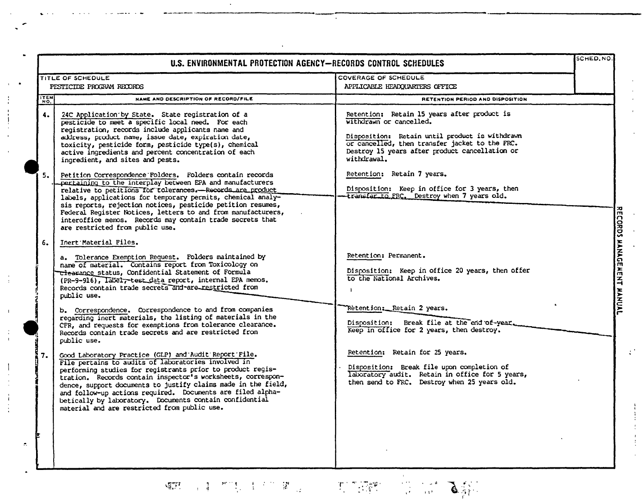| U.S. ENVIRONMENTAL PROTECTION AGENCY-RECORDS CONTROL SCHEDULES |                                                                                                                                                                                                                                                                                                                                                                                                                                                                                                                                                                                   |                                                                                                                                                                                                                                                  | SCHED, NO. |                             |
|----------------------------------------------------------------|-----------------------------------------------------------------------------------------------------------------------------------------------------------------------------------------------------------------------------------------------------------------------------------------------------------------------------------------------------------------------------------------------------------------------------------------------------------------------------------------------------------------------------------------------------------------------------------|--------------------------------------------------------------------------------------------------------------------------------------------------------------------------------------------------------------------------------------------------|------------|-----------------------------|
|                                                                | <b>TITLE OF SCHEDULE</b><br>PESTICIDE PROGRAM RECORDS                                                                                                                                                                                                                                                                                                                                                                                                                                                                                                                             | COVERAGE OF SCHEDULE<br>APPLICABLE HEADQUARTERS OFFICE                                                                                                                                                                                           |            |                             |
| ITEM                                                           | NAME AND DESCRIPTION OF RECORD/FILE                                                                                                                                                                                                                                                                                                                                                                                                                                                                                                                                               | RETENTION PERIOD AND DISPOSITION                                                                                                                                                                                                                 |            |                             |
| 4.                                                             | 24C Application by State. State registration of a<br>pesticide to meet a specific local need. For each<br>registration, records include applicants name and<br>address, product name, issue date, expiration date,<br>toxicity, pesticide form, pesticide type(s), chemical<br>active ingredients and percent concentration of each<br>ingredient, and sites and pests.                                                                                                                                                                                                           | Retention: Retain 15 years after product is<br>withdrawn or cancelled.<br>Disposition: Retain until product is withdrawn<br>or cancelled, then transfer jacket to the FRC.<br>Destroy 15 years after product cancellation or<br>withdrawal.      |            |                             |
| 5.                                                             | Petition Correspondence Folders. Folders contain records<br>pertaining to the interplay between EPA and manufacturers<br>relative to petitions for rolerances.--Records are product<br>labels, applications for temporary permits, chemical analy-<br>sis reports, rejection notices, pesticide petition resumes,<br>Federal Register Notices, letters to and from manufacturers,<br>interoffice memos. Records may contain trade secrets that<br>are restricted from public use.                                                                                                 | Retention: Retain 7 years.<br>Disposition: Keep in office for 3 years, then<br>-transfer to FRC. Destroy when 7 years old.                                                                                                                       |            |                             |
| 6.                                                             | Inert Material Files.<br>a. Tolerance Exemption Request. Folders maintained by<br>name of material. Contains report from Toxicology on<br>clearance status, Confidential Statement of Formula<br>(PR-9-916), Iabel, test data report, internal EPA memos.<br>Records contain trade secrets and-are restricted from<br>public use.<br>b. Correspondence. Correspondence to and from companies<br>regarding inert materials, the listing of materials in the<br>CFR, and requests for exemptions from tolerance clearance.<br>Records contain trade secrets and are restricted from | Retention: Permanent.<br>Disposition: Keep in office 20 years, then offer<br>to the National Archives.<br>$\mathbf{r}$<br>Retention: Retain 2 years.<br>Disposition: Break file at the end of-year.<br>Keep in office for 2 years, then destroy. |            | RECORDS MANAGEMENT MANUAL   |
| 7.                                                             | public use.<br>Good Laboratory Practice (GLP) and Audit Report File.<br>File pertains to audits of laboratories involved in<br>performing studies for registrants prior to product regis-<br>tration. Records contain inspector's worksheets, correspon-<br>dence, support documents to justify claims made in the field,<br>and follow-up actions required. Documents are filed alpha-<br>betically by laboratory. Documents contain confidential<br>material and are restricted from public use.                                                                                | Retention; Retain for 25 years.<br>Disposition: Break file upon completion of<br>laboratory audit. Retain in office for 5 years,<br>then send to FRC. Destroy when 25 years old.                                                                 |            | $\mathcal{C}^{\mathcal{A}}$ |
|                                                                |                                                                                                                                                                                                                                                                                                                                                                                                                                                                                                                                                                                   |                                                                                                                                                                                                                                                  |            |                             |

 $\sim$ 

**如此一个生活的的人生产的。第**一个人的人们的结婚。

NWMIL

 $\frac{1}{3}$ 

 $\mathbf{u}$ 

 $\frac{1}{4}$ 

 $\begin{array}{c} 1 \\ 1 \\ 1 \end{array}$ 

 $\begin{array}{c} 1 \\ 1 \\ 1 \end{array}$ 

 $\mathcal{L}_{\mathcal{L}}$ 

Andrea Dage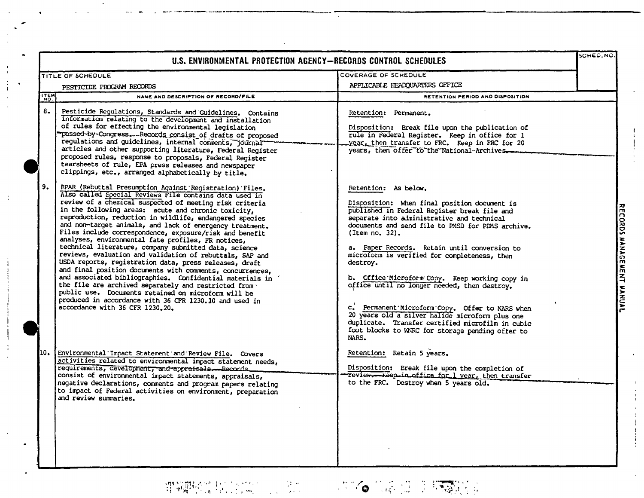|             | U.S. ENVIRONMENTAL PROTECTION AGENCY-RECORDS CONTROL SCHEDULES                                                                                                                                                                                                                                                                                                                                                                                                                                                                                                                                                                                                                                                                                                                                                                                                                                                                                                                                    |                                                                                                                                                                                                                                                                                                                                                                                                                                                                                                                                                                                                                                                                                | SCHED.NO |                           |
|-------------|---------------------------------------------------------------------------------------------------------------------------------------------------------------------------------------------------------------------------------------------------------------------------------------------------------------------------------------------------------------------------------------------------------------------------------------------------------------------------------------------------------------------------------------------------------------------------------------------------------------------------------------------------------------------------------------------------------------------------------------------------------------------------------------------------------------------------------------------------------------------------------------------------------------------------------------------------------------------------------------------------|--------------------------------------------------------------------------------------------------------------------------------------------------------------------------------------------------------------------------------------------------------------------------------------------------------------------------------------------------------------------------------------------------------------------------------------------------------------------------------------------------------------------------------------------------------------------------------------------------------------------------------------------------------------------------------|----------|---------------------------|
|             | TITLE OF SCHEDULE<br>PESTICIDE PROGRAM RECORDS                                                                                                                                                                                                                                                                                                                                                                                                                                                                                                                                                                                                                                                                                                                                                                                                                                                                                                                                                    | COVERAGE OF SCHEDULE<br>APPLICABLE HEADOUARTERS OFFICE                                                                                                                                                                                                                                                                                                                                                                                                                                                                                                                                                                                                                         |          |                           |
| <b>ITEM</b> | NAME AND DESCRIPTION OF RECORD/FILE                                                                                                                                                                                                                                                                                                                                                                                                                                                                                                                                                                                                                                                                                                                                                                                                                                                                                                                                                               | RETENTION PERIOD AND DISPOSITION                                                                                                                                                                                                                                                                                                                                                                                                                                                                                                                                                                                                                                               |          |                           |
| 8.          | Pesticide Regulations, Standards and Guidelines. Contains<br>information relating to the development and installation<br>of rules for effecting the environmental legislation<br>passed-by-CongressRecords consist of drafts of proposed<br>regulations and guidelines, internal comments, journal<br>articles and other supporting literature, Federal Register<br>proposed rules, response to proposals, Federal Register<br>tearsheets of rule, EPA press releases and newspaper<br>clippings, etc., arranged alphabetically by title.                                                                                                                                                                                                                                                                                                                                                                                                                                                         | Retention: Permanent.<br>Disposition: Break file upon the publication of<br>rule in Federal Register. Keep in office for 1<br>year, then transfer to FRC. Keep in FRC for 20<br>years, then offer to the National-Archives.                                                                                                                                                                                                                                                                                                                                                                                                                                                    |          |                           |
| 9.          | RPAR (Rebuttal Presumption Against Registration) Files.<br>Also called Special Reviews File contains data used in<br>review of a chemical suspected of meeting risk criteria<br>in the following areas: acute and chronic toxicity,<br>reproduction, reduction in wildlife, endangered species<br>and non-target animals, and lack of emergency treatment.<br>Files include correspondence, exposure/risk and benefit<br>analyses, environmental fate profiles, FR notices,<br>technical literature, company submitted data, science<br>reviews, evaluation and validation of rebuttals, SAP and<br>USDA reports, registration data, press releases, draft<br>and final position documents with comments, concurrences,<br>and associated bibliographies. Confidential materials in<br>the file are archived separately and restricted from .<br>public use. Documents retained on microform will be<br>produced in accordance with 36 CFR 1230.10 and used in<br>accordance with 36 CFR 1230.20. | Retention: As below.<br>Disposition: When final position document is<br>published in Federal Register break file and<br>separate into administrative and technical<br>documents and send file to PMSD for PDMS archive.<br>(Item no. 32).<br>a. Paper Records. Retain until conversion to<br>microform is verified for completeness, then<br>destroy.<br>b. Office Microform Copy. Keep working copy in<br>office until no longer needed, then destroy.<br>c. Permanent Microform Copy. Offer to NARS when<br>20 years old a silver halide microform plus one<br>duplicate. Transfer certified microfilm in cubic<br>foot blocks to WNRC for storage pending offer to<br>NARS. |          | RECORDS MANAGEMENT MANUAL |
| 10.         | Environmental Impact Statement and Review File. Covers<br>activities related to environmental impact statement needs,<br>requirements, development, and appraisals. Records<br>consist of environmental impact statements, appraisals,<br>negative declarations, comments and program papers relating<br>to impact of Federal activities on environment, preparation<br>and review summaries.                                                                                                                                                                                                                                                                                                                                                                                                                                                                                                                                                                                                     | Retention: Retain 5 years.<br>Disposition: Break file upon the completion of<br>Teview.--Keep-in office for 1 year, then transfer<br>to the FRC. Destroy when 5 years old.                                                                                                                                                                                                                                                                                                                                                                                                                                                                                                     |          |                           |

 $\mathcal{A}^{\pm}$ 

 $\mathcal{L}^{\mathcal{L}}$ 

 $\begin{array}{l} \displaystyle \lim_{\epsilon \rightarrow 0} \displaystyle \liminf_{\epsilon \rightarrow 0} \mathcal{E}(\gamma) \geq \mathcal{E}(\gamma) \geq \mathcal{E}(\gamma) \geq \mathcal{E}(\gamma) \geq \mathcal{E}(\gamma) \geq \mathcal{E}(\gamma) \geq \mathcal{E}(\gamma) \geq \mathcal{E}(\gamma) \geq \mathcal{E}(\gamma) \geq \mathcal{E}(\gamma) \geq \mathcal{E}(\gamma) \geq \mathcal{E}(\gamma) \geq \mathcal{E}(\gamma) \geq \mathcal{E}(\gamma) \geq \mathcal{E}(\gamma) \geq \mathcal{E}$ 

NWML

 $\begin{array}{c} 1 \\ 1 \\ 2 \\ 3 \\ 4 \end{array}$ 

 $\sim$   $\pm$ 

 $\cdot$ 

 $\sim$ 

 $\bullet$ 

 $\sim$  .

(本个 10%) (1) → 15, 50%)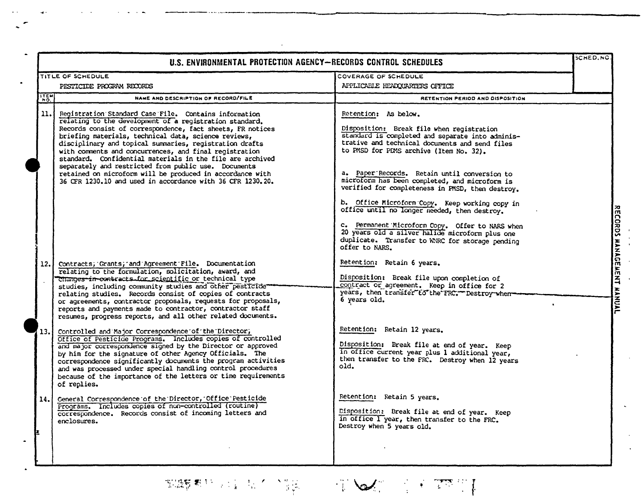| TITLE OF SCHEDULE<br>PESTICIDE PROGRAM RECORDS                                                                                                                                                                                                                                                                                                                                                                                                                                                                                                                                                              | COVERAGE OF SCHEDULE                                                                                                                                                                                                                                                                                                                                                                                                                                                                                                                                                                                                                                  |  |
|-------------------------------------------------------------------------------------------------------------------------------------------------------------------------------------------------------------------------------------------------------------------------------------------------------------------------------------------------------------------------------------------------------------------------------------------------------------------------------------------------------------------------------------------------------------------------------------------------------------|-------------------------------------------------------------------------------------------------------------------------------------------------------------------------------------------------------------------------------------------------------------------------------------------------------------------------------------------------------------------------------------------------------------------------------------------------------------------------------------------------------------------------------------------------------------------------------------------------------------------------------------------------------|--|
|                                                                                                                                                                                                                                                                                                                                                                                                                                                                                                                                                                                                             |                                                                                                                                                                                                                                                                                                                                                                                                                                                                                                                                                                                                                                                       |  |
|                                                                                                                                                                                                                                                                                                                                                                                                                                                                                                                                                                                                             | APPLICABLE HEADQUARTERS OFFICE                                                                                                                                                                                                                                                                                                                                                                                                                                                                                                                                                                                                                        |  |
| NAME AND DESCRIPTION OF RECORD/FILE                                                                                                                                                                                                                                                                                                                                                                                                                                                                                                                                                                         | RETENTION PERIOD AND DISPOSITION                                                                                                                                                                                                                                                                                                                                                                                                                                                                                                                                                                                                                      |  |
| Registration Standard Case File. Contains information<br>relating to the development of a registration standard.<br>Records consist of correspondence, fact sheets, FR notices<br>briefing materials, technical data, science reviews,<br>disciplinary and topical summaries, registration drafts<br>with comments and concurrences, and final registration<br>standard. Confidential materials in the file are archived<br>separately and restricted from public use. Documents<br>retained on microform will be produced in accordance with<br>36 CFR 1230.10 and used in accordance with 36 CFR 1230.20. | Retention: As below.<br>Disposition: Break file when registration<br>standard is completed and separate into adminis-<br>trative and technical documents and send files<br>to PMSD for PDMS archive (Item No. 32).<br>a. Paper Records. Retain until conversion to<br>microform has been completed, and microform is<br>verified for completeness in PMSD, then destroy.<br>b. Office Microform Copy. Keep working copy in<br>office until no longer needed, then destroy.<br>c. Permanent Microform Copy. Offer to NARS when<br>20 years old a silver halide microform plus one<br>duplicate. Transfer to WNRC for storage pending<br>offer to NARS. |  |
| Contracts; Grants; and Agreement File. Documentation<br>relating to the formulation, solicitation, award, and<br>Changes in contracts for scientific or technical type<br>studies, including community studies and other pesticide<br>relating studies. Records consist of copies of contracts<br>or agreements, contractor proposals, requests for proposals,<br>reports and payments made to contractor, contractor staff<br>resumes, progress reports, and all other related documents.                                                                                                                  | Retention: Retain 6 years.<br>Disposition: Break file upon completion of<br>contract or agreement. Keep in office for 2<br>years, then transfer to the FRC. Destroy when<br>6 years old.                                                                                                                                                                                                                                                                                                                                                                                                                                                              |  |
| Controlled and Major Correspondence of the Director,<br>Office of Pesticide Programs. Includes copies of controlled<br>and major correspondence signed by the Director or approved<br>by him for the signature of other Agency Officials. The<br>correspondence significantly documents the program activities<br>and was processed under special handling control procedures<br>because of the importance of the letters or time requirements<br>of replies.                                                                                                                                               | Retention: Retain 12 years.<br>Disposition: Break file at end of year. Keep<br>in office current year plus 1 additional year,<br>then transfer to the FRC. Destroy when 12 years<br>old.                                                                                                                                                                                                                                                                                                                                                                                                                                                              |  |
| Ceneral Correspondence of the Director, Office Pesticide<br>Programs. Includes copies of non-controlled (routine)<br>correspondence. Records consist of incoming letters and<br>enclosures.                                                                                                                                                                                                                                                                                                                                                                                                                 | Retention: Retain 5 years.<br>Disposition: Break file at end of year. Keep<br>in office I year, then transfer to the FRC.<br>Destroy when 5 years old.                                                                                                                                                                                                                                                                                                                                                                                                                                                                                                |  |
|                                                                                                                                                                                                                                                                                                                                                                                                                                                                                                                                                                                                             |                                                                                                                                                                                                                                                                                                                                                                                                                                                                                                                                                                                                                                                       |  |

**如酵粉与蛋白不少能**。 电图表 经无关票

NWML

 $\overline{\mathbf{a}}$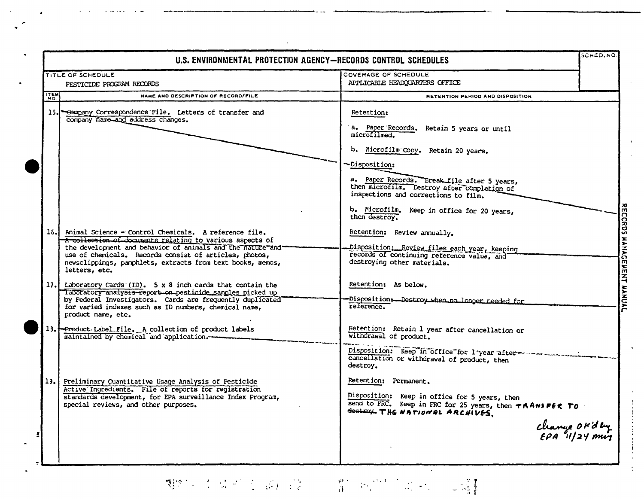|            | U.S. ENVIRONMENTAL PROTECTION AGENCY-RECORDS CONTROL SCHEDULES                                                                                                                                                                                                                                                               |                                                                                                                                                                      | SCHED.NO |
|------------|------------------------------------------------------------------------------------------------------------------------------------------------------------------------------------------------------------------------------------------------------------------------------------------------------------------------------|----------------------------------------------------------------------------------------------------------------------------------------------------------------------|----------|
|            | TITLE OF SCHEDULE<br>PESTICIDE PROGRAM RECORDS                                                                                                                                                                                                                                                                               | COVERAGE OF SCHEDULE<br>APPLICABLE HEADQUARTERS OFFICE                                                                                                               |          |
| <b>TEM</b> | NAME AND DESCRIPTION OF RECORD/FILE                                                                                                                                                                                                                                                                                          | RETENTION PERIOD AND DISPOSITION                                                                                                                                     |          |
|            | 15. Sampany Correspondence File. Letters of transfer and<br>company name and address changes.                                                                                                                                                                                                                                | Retention:<br>a. Paper Records. Retain 5 years or until<br>microfilmed.                                                                                              |          |
|            |                                                                                                                                                                                                                                                                                                                              | b. Microfilm Copy. Retain 20 years.<br>-Disposition:                                                                                                                 |          |
|            |                                                                                                                                                                                                                                                                                                                              | a. Paper Records. Break file after 5 years,<br>then microfilm. Destroy after completion of<br>inspections and corrections to film.                                   |          |
|            |                                                                                                                                                                                                                                                                                                                              | b. Microfilm. Keep in office for 20 years,<br>then destroy.                                                                                                          |          |
|            | 16. Animal Science - Control Chemicals. A reference file.<br>A collection of documents relating to various aspects of<br>the development and behavior of animals and the nature and<br>use of chemicals. Records consist of articles, photos,<br>newsclippings, pamphlets, extracts from text books, memos,<br>letters, etc. | Retention: Review annually.<br>Disposition: Review files each year, keeping<br>records of continuing reference value, and<br>destroying other materials.             |          |
|            | 17. Laboratory Cards (ID). 5 x 8 inch cards that contain the<br>laboratory analysis report on pesticide samples picked up<br>by Federal Investigators. Cards are frequently duplicated<br>for varied indexes such as ID numbers, chemical name,<br>product name, etc.                                                        | Retention: As below.<br>Disposition: Destroy when no longer needed for<br>reference.                                                                                 |          |
|            | 13. Product-Label File. A collection of product labels<br>maintained by chemical and application.                                                                                                                                                                                                                            | Retention: Retain 1 year after cancellation or<br>withdrawal of product.                                                                                             |          |
|            |                                                                                                                                                                                                                                                                                                                              | Disposition: Keep in office for l'year after www.<br>cancellation or withdrawal of product, then<br>destroy.                                                         |          |
| 13.1       | Preliminary Quantitative Usage Analysis of Pesticide<br>Active Ingredients. File of reports for registration<br>standards development, for EPA surveillance Index Program,<br>special reviews, and other purposes.                                                                                                           | Retention: Permanent.<br>Disposition: Keep in office for 5 years, then<br>send to FRC. Keep in FRC for 25 years, then TAANSFER TO<br>destroy. THE NATIONAL ARCHIVES. |          |
|            |                                                                                                                                                                                                                                                                                                                              | change OK'd by<br>EPA 11/24 min                                                                                                                                      |          |

NWWIL

 $\bullet$ 

# 期的,不是是的人的问题。 ( B) 所以, ( ) ( )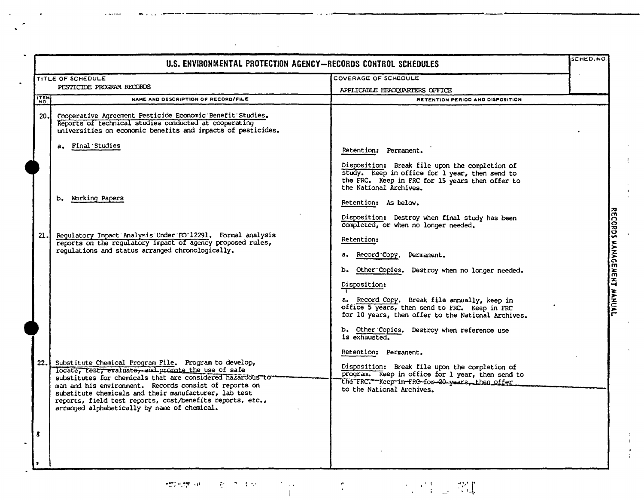| U.S. ENVIRONMENTAL PROTECTION AGENCY-RECORDS CONTROL SCHEDULES |                                                                                                                                                                                                                                                                                                                                                                                                            |                                                                                                                                                                                    | SCHED.NO. |
|----------------------------------------------------------------|------------------------------------------------------------------------------------------------------------------------------------------------------------------------------------------------------------------------------------------------------------------------------------------------------------------------------------------------------------------------------------------------------------|------------------------------------------------------------------------------------------------------------------------------------------------------------------------------------|-----------|
|                                                                | TITLE OF SCHEDULE                                                                                                                                                                                                                                                                                                                                                                                          | COVERAGE OF SCHEDULE                                                                                                                                                               |           |
|                                                                | PESTICIDE PROGRAM RECORDS                                                                                                                                                                                                                                                                                                                                                                                  | APPLICABLE HEADQUARTERS OFFICE                                                                                                                                                     |           |
| <b>ITEM</b>                                                    | NAME AND DESCRIPTION OF RECORD/FILE                                                                                                                                                                                                                                                                                                                                                                        | RETENTION PERIOD AND DISPOSITION                                                                                                                                                   |           |
| 20.1                                                           | Cooperative Agreement Pesticide Economic Benefit Studies.<br>Reports of technical studies conducted at cooperating<br>universities on economic benefits and impacts of pesticides.                                                                                                                                                                                                                         |                                                                                                                                                                                    |           |
|                                                                | a. Final Studies                                                                                                                                                                                                                                                                                                                                                                                           | Retention: Permanent.                                                                                                                                                              |           |
|                                                                |                                                                                                                                                                                                                                                                                                                                                                                                            | Disposition: Break file upon the completion of<br>study. Keep in office for 1 year, then send to<br>the FRC. Keep in FRC for 15 years then offer to<br>the National Archives.      |           |
|                                                                | b. Working Papers                                                                                                                                                                                                                                                                                                                                                                                          | Retention: As below.                                                                                                                                                               |           |
|                                                                |                                                                                                                                                                                                                                                                                                                                                                                                            | Disposition: Destroy when final study has been<br>completed, or when no longer needed.                                                                                             |           |
| 21.                                                            | Regulatory Impact Analysis Under EO 12291. Formal analysis<br>reports on the regulatory impact of agency proposed rules,                                                                                                                                                                                                                                                                                   | Retention:                                                                                                                                                                         |           |
|                                                                | regulations and status arranged chronologically.                                                                                                                                                                                                                                                                                                                                                           | a. Record Copy. Permanent.                                                                                                                                                         |           |
|                                                                |                                                                                                                                                                                                                                                                                                                                                                                                            | b. Other Copies. Destroy when no longer needed.<br>Disposition:                                                                                                                    |           |
|                                                                |                                                                                                                                                                                                                                                                                                                                                                                                            | a. Record Copy. Break file annually, keep in<br>office 5 years, then send to FRC. Keep in FRC<br>for 10 years, then offer to the National Archives.                                |           |
|                                                                |                                                                                                                                                                                                                                                                                                                                                                                                            | b. Other Copies. Destroy when reference use<br>is exhausted.                                                                                                                       |           |
|                                                                |                                                                                                                                                                                                                                                                                                                                                                                                            | Retention: Permanent.                                                                                                                                                              |           |
| 22.1                                                           | Substitute Chemical Program File. Program to develop,<br>locate, test, evaluate, and promote the use of safe<br>substitutes for chemicals that are considered hazardous to<br>man and his environment. Records consist of reports on<br>substitute chemicals and their manufacturer, lab test<br>reports, field test reports, cost/benefits reports, etc.,<br>arranged alphabetically by name of chemical. | Disposition: Break file upon the completion of<br>program. Keep in office for 1 year, then send to<br>the FRC. - Keep in FRC for 20 years, then offer<br>to the National Archives. |           |
| t                                                              |                                                                                                                                                                                                                                                                                                                                                                                                            |                                                                                                                                                                                    |           |

ŧ.

 $\mathcal{O}(\mathcal{O}(\log n))$ 

 $\bar{\phantom{a}}$  .

NWMIL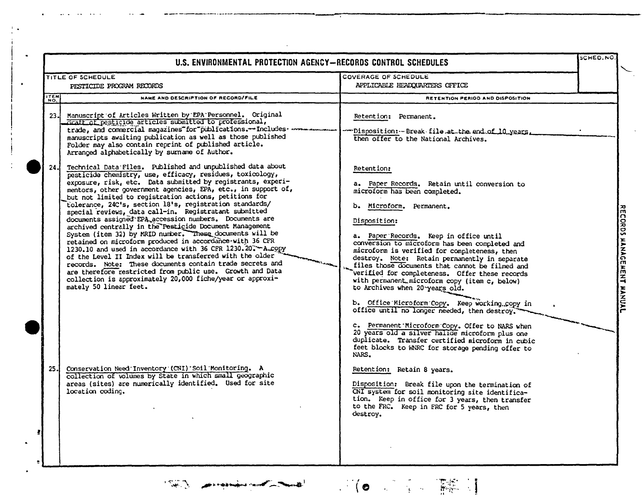|             | U.S. ENVIRONMENTAL PROTECTION AGENCY-RECORDS CONTROL SCHEDULES                                                                                                                                                                                                                                                                                                                                                                                                                                                                                                                                                                                                                                                                                                                                                                                                                                                                                                                                                                  |                                                                                                                                                                                                                                                                                                                                                                                                                                                                                                                                                                       | SCHED.NO |
|-------------|---------------------------------------------------------------------------------------------------------------------------------------------------------------------------------------------------------------------------------------------------------------------------------------------------------------------------------------------------------------------------------------------------------------------------------------------------------------------------------------------------------------------------------------------------------------------------------------------------------------------------------------------------------------------------------------------------------------------------------------------------------------------------------------------------------------------------------------------------------------------------------------------------------------------------------------------------------------------------------------------------------------------------------|-----------------------------------------------------------------------------------------------------------------------------------------------------------------------------------------------------------------------------------------------------------------------------------------------------------------------------------------------------------------------------------------------------------------------------------------------------------------------------------------------------------------------------------------------------------------------|----------|
|             | TITLE OF SCHEDULE<br>PESTICIDE PROGRAM RECORDS                                                                                                                                                                                                                                                                                                                                                                                                                                                                                                                                                                                                                                                                                                                                                                                                                                                                                                                                                                                  | COVERAGE OF SCHEDULE<br>APPLICABLE HEADQUARTERS OFFICE                                                                                                                                                                                                                                                                                                                                                                                                                                                                                                                |          |
| <b>ITEM</b> | NAME AND DESCRIPTION OF RECORD/FILE                                                                                                                                                                                                                                                                                                                                                                                                                                                                                                                                                                                                                                                                                                                                                                                                                                                                                                                                                                                             | <b>RETENTION PERIOD AND DISPOSITION</b>                                                                                                                                                                                                                                                                                                                                                                                                                                                                                                                               |          |
| 23.1        | Manuscript of Articles Written by EPA Personnel. Original<br>draft of pesticide articles submitted to professional,<br>trade, and commercial magazines "for "publications." Includes<br>manuscripts awaiting publication as well as those published<br>Folder may also contain reprint of published article.<br>Arranged alphabetically by surname of Author.                                                                                                                                                                                                                                                                                                                                                                                                                                                                                                                                                                                                                                                                   | Retention: Permanent.<br>--Disposition: - Break file at the end of 10 years.<br>then offer to the National Archives.                                                                                                                                                                                                                                                                                                                                                                                                                                                  |          |
| 24.         | Technical Data Files. Published and unpublished data about<br>pesticide chemistry, use, efficacy, residues, toxicology,<br>exposure, risk, etc. Data submitted by registrants, experi-<br>mentors, other government agencies, EPA, etc., in support of,<br>but not limited to registration actions, petitions for<br>tolerance, 24C's, section 18's, registration standards/<br>special reviews, data call-in. Registratant submitted<br>documents assigned EPA accession numbers. Documents are<br>archived centrally in the Pesticide Document Management<br>System (item 32) by MRID number. These documents will be<br>retained on microform produced in accordance with 36 CFR<br>1230.10 and used in accordance with 36 CFR 1230.20. - A.copy<br>of the Level II Index will be transferred with the older<br>records. Note: These documents contain trade secrets and<br>are therefore restricted from public use. Growth and Data<br>collection is approximately 20,000 fiche/year or approxi-<br>mately 50 linear feet. | Retention:<br>a. Paper Records. Retain until conversion to<br>microform has been completed.<br>b. Microform. Permanent.<br>Disposition:<br>a. Paper Records. Keep in office until<br>conversion to microform has been completed and<br>microform is verified for completeness, then<br>destroy. Note: Retain permanently in separate<br>files those documents that cannot be filmed and<br>verified for completeness. Offer these records<br>with permanent microform copy (item c, below)<br>to Archives when 20 years old.                                          |          |
| 25.         | Conservation Need Inventory (CNI) Soil Monitoring. A<br>collection of volumes by State in which small geographic<br>areas (sites) are numerically identified. Used for site<br>location coding.<br>$\bullet$<br>$\sim$                                                                                                                                                                                                                                                                                                                                                                                                                                                                                                                                                                                                                                                                                                                                                                                                          | b. Office Microform Copy. Keep working copy in<br>office until no longer needed, then destroy.<br>c. Permanent Microform Copy. Offer to NARS when<br>20 years old a silver halide microform plus one<br>duplicate. Transfer certified microform in cubic<br>feet blocks to WNRC for storage pending offer to<br>NARS.<br>Retention: Retain 8 years.<br>Disposition: Break file upon the termination of<br>CNI system for soil monitoring site identifica-<br>tion. Keep in office for 3 years, then transfer<br>to the FRC. Keep in FRC for 5 years, then<br>destroy. |          |
|             |                                                                                                                                                                                                                                                                                                                                                                                                                                                                                                                                                                                                                                                                                                                                                                                                                                                                                                                                                                                                                                 |                                                                                                                                                                                                                                                                                                                                                                                                                                                                                                                                                                       |          |

NWMIL

 $\ddot{\phantom{a}}$ 

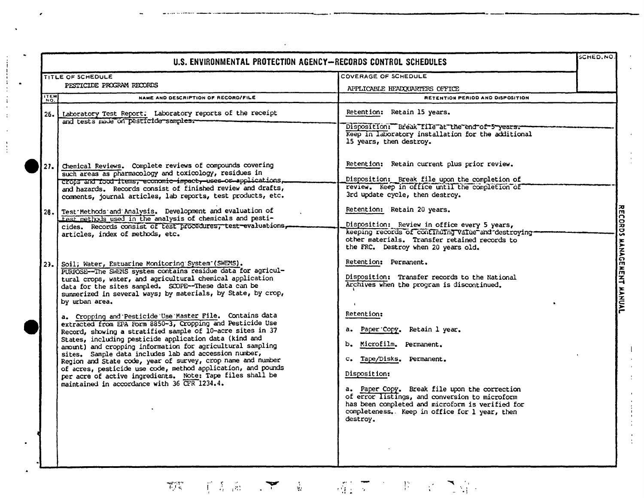| U.S. ENVIRONMENTAL PROTECTION AGENCY-RECORDS CONTROL SCHEDULES                                                                                                                                                                                                                                                                                                                                                                                                                                                                                                                                                                                                                                                                                                                                                                                                                                                                                        |                                                                                                                                                                                                                                                                                                                                                                                                                                                                  |                                                      |  |  |
|-------------------------------------------------------------------------------------------------------------------------------------------------------------------------------------------------------------------------------------------------------------------------------------------------------------------------------------------------------------------------------------------------------------------------------------------------------------------------------------------------------------------------------------------------------------------------------------------------------------------------------------------------------------------------------------------------------------------------------------------------------------------------------------------------------------------------------------------------------------------------------------------------------------------------------------------------------|------------------------------------------------------------------------------------------------------------------------------------------------------------------------------------------------------------------------------------------------------------------------------------------------------------------------------------------------------------------------------------------------------------------------------------------------------------------|------------------------------------------------------|--|--|
| TITLE OF SCHEDULE                                                                                                                                                                                                                                                                                                                                                                                                                                                                                                                                                                                                                                                                                                                                                                                                                                                                                                                                     | COVERAGE OF SCHEDULE                                                                                                                                                                                                                                                                                                                                                                                                                                             |                                                      |  |  |
| PESTICIDE PROGRAM RECORDS                                                                                                                                                                                                                                                                                                                                                                                                                                                                                                                                                                                                                                                                                                                                                                                                                                                                                                                             | APPLICABLE HEADQUARTERS OFFICE                                                                                                                                                                                                                                                                                                                                                                                                                                   |                                                      |  |  |
| <b>ITEM</b><br>NAME AND DESCRIPTION OF RECORD/FILE                                                                                                                                                                                                                                                                                                                                                                                                                                                                                                                                                                                                                                                                                                                                                                                                                                                                                                    | RETENTION PERIOD AND DISPOSITION                                                                                                                                                                                                                                                                                                                                                                                                                                 |                                                      |  |  |
| 26. Laboratory Test Report. Laboratory reports of the receipt<br>and tests made on pesticide samples.                                                                                                                                                                                                                                                                                                                                                                                                                                                                                                                                                                                                                                                                                                                                                                                                                                                 | Retention: Retain 15 years.<br>Disposition: "Break file at the end of 5 years."<br>Keep in laboratory installation for the additional<br>15 years, then destroy.                                                                                                                                                                                                                                                                                                 |                                                      |  |  |
| 27. Chemical Reviews. Complete reviews of compounds covering<br>such areas as pharmacology and toxicology, residues in<br>crops and food items, economic impact, uses or applications.<br>and hazards. Records consist of finished review and drafts,<br>comments, journal articles, lab reports, test products, etc.<br>28. Test Methods and Analysis. Development and evaluation of<br>test methods used in the analysis of chemicals and pesti-<br>cides. Records consist of test procedures, test-evaluations.<br>articles, index of methods, etc.                                                                                                                                                                                                                                                                                                                                                                                                | Retention: Retain current plus prior review.<br>Disposition: Break file upon the completion of<br>review. Keep in office until the completion of<br>3rd update cycle, then destroy.<br>Retention: Retain 20 years.<br>Disposition: Review in office every 5 years,<br>keeping records of continuing value and destroying-<br>other materials. Transfer retained records to<br>the FRC. Destroy when 20 years old.                                                |                                                      |  |  |
| Soil; Water, Estuarine Monitoring System (SWEMS).<br>23.1<br>PURPOSE--The SWEMS system contains residue data for agricul-<br>tural crops, water, and agricultural chemical application<br>data for the sites sampled. SCOPE--These data can be<br>summerized in several ways; by materials, by State, by crop,<br>by urban area.<br>a. Cropping and Pesticide Use Master File. Contains data<br>extracted from EPA Form 8850-3, Cropping and Pesticide Use<br>Record, showing a stratified sample of 10-acre sites in 37<br>States, including pesticide application data (kind and<br>amount) and cropping information for agricultural sampling<br>sites. Sample data includes lab and accession number,<br>Region and State code, year of survey, crop name and number<br>of acres, pesticide use code, method application, and pounds<br>per acre of active ingredients. Note: Tape files shall be<br>maintained in accordance with 36 CFR 1234.4. | Retention: Permanent.<br>Disposition: Transfer records to the National<br>Archives when the program is discontinued.<br>Retention:<br>a. Paper Copy. Retain 1 year.<br>b. Microfilm. Permanent.<br>c. Tape/Disks. Permanent.<br>Disposition:<br>a. Paper Copy. Break file upon the correction<br>of error listings, and conversion to microform<br>has been completed and microform is verified for<br>completeness. Keep in office for 1 year, then<br>destroy. | <b>MANAGE</b><br><b>MENT</b><br><b><i>AANNAL</i></b> |  |  |
|                                                                                                                                                                                                                                                                                                                                                                                                                                                                                                                                                                                                                                                                                                                                                                                                                                                                                                                                                       |                                                                                                                                                                                                                                                                                                                                                                                                                                                                  |                                                      |  |  |

 $\begin{bmatrix} 1 \\ 1 \\ 1 \end{bmatrix}$ 

 $\mathbf{I}$ 

NWML

 $\epsilon$ 

(《东南三十三章》) 耀文 (《书三) 之解。  $\mathcal{I}_{\mathcal{G}}^{\text{out}}$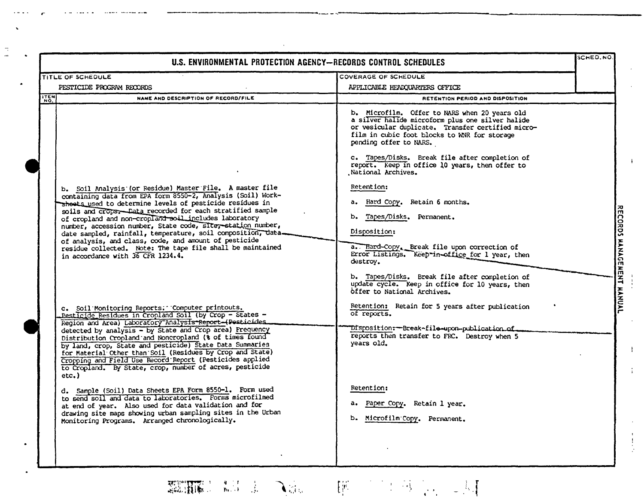|                                                                                                                                                                                                                                                                                                                                                                                                                                                                                                                                                                                                      | U.S. ENVIRONMENTAL PROTECTION AGENCY-RECORDS CONTROL SCHEDULES                                                                                                                                                                                                                                                                                                                                                                                                                                                                                                                                                                                                                                                |  |
|------------------------------------------------------------------------------------------------------------------------------------------------------------------------------------------------------------------------------------------------------------------------------------------------------------------------------------------------------------------------------------------------------------------------------------------------------------------------------------------------------------------------------------------------------------------------------------------------------|---------------------------------------------------------------------------------------------------------------------------------------------------------------------------------------------------------------------------------------------------------------------------------------------------------------------------------------------------------------------------------------------------------------------------------------------------------------------------------------------------------------------------------------------------------------------------------------------------------------------------------------------------------------------------------------------------------------|--|
| TITLE OF SCHEDULE                                                                                                                                                                                                                                                                                                                                                                                                                                                                                                                                                                                    | COVERAGE OF SCHEDULE                                                                                                                                                                                                                                                                                                                                                                                                                                                                                                                                                                                                                                                                                          |  |
| PESTICIDE PROGRAM RECORDS                                                                                                                                                                                                                                                                                                                                                                                                                                                                                                                                                                            | APPLICABLE HEADQUARTERS OFFICE                                                                                                                                                                                                                                                                                                                                                                                                                                                                                                                                                                                                                                                                                |  |
| <b>ITEM</b><br>NAME AND DESCRIPTION OF RECORD/FILE                                                                                                                                                                                                                                                                                                                                                                                                                                                                                                                                                   | RETENTION PERIOD AND DISPOSITION                                                                                                                                                                                                                                                                                                                                                                                                                                                                                                                                                                                                                                                                              |  |
| b. Soil Analysis (or Residue) Master File. A master file<br>containing data from EPA form 8550-2, Analysis (Soil) Work-<br>shoots used to determine levels of pesticide residues in<br>soils and crops. Data recorded for each stratified sample<br>of cropland and non-cropland soil includes laboratory<br>number, accession number, State code, Site, station number,<br>date sampled, rainfall, temperature, soil composition, data-<br>of analysis, and class, code, and amount of pesticide<br>residue collected. Note: The tape file shall be maintained<br>in accordance with 36 CFR 1234.4. | b. Microfilm. Offer to NARS when 20 years old<br>a silver halide microform plus one silver halide<br>or vesicular duplicate. Transfer certified micro-<br>film in cubic foot blocks to WNR for storage<br>pending offer to NARS.<br>c. Tapes/Disks. Break file after completion of<br>report. Keep in office 10 years, then offer to<br>National Archives.<br>Retention:<br>a. Hard Copy. Retain 6 months.<br>Tapes/Disks. Permanent.<br>b.<br>Disposition:<br>a. Hard-Copy. Break file upon correction of<br>Error Listings. Keep in office for 1 year, then<br>destroy.<br>b. Tapes/Disks. Break file after completion of<br>update cycle. Keep in office for 10 years, then<br>offer to National Archives. |  |
| c. Soil Monitoring Reports: Computer printouts.<br>Pesticide Residues in Cropland Soil (by Crop - States -<br>Region and Area) Laboratory Analysis Report-(Posticides<br>detected by analysis - by State and Crop area) Frequency<br>Distribution Cropland and Noncropland (% of times found<br>by land, crop, State and pesticide) State Data Summaries<br>for Material Other than Soil (Residues by Crop and State)<br>Cropping and Field Use Record Report (Pesticides applied<br>to Cropland. By State, crop, number of acres, pesticide<br>$etc.$ )                                             | Retention: Retain for 5 years after publication<br>of reports.<br>Disposition:--Break~file-upon-publication.of_<br>reports then transfer to FRC. Destroy when 5<br>years old.                                                                                                                                                                                                                                                                                                                                                                                                                                                                                                                                 |  |
| d. Sample (Soil) Data Sheets EPA Form 8550-1. Form used<br>to send soil and data to laboratories. Forms microfilmed<br>at end of year. Also used for data validation and for<br>drawing site maps showing urban sampling sites in the Urban<br>Monitoring Programs. Arranged chronologically.                                                                                                                                                                                                                                                                                                        | Retention:<br>a. Paper Copy. Retain 1 year.<br>b. Microfilm Copy. Permanent.                                                                                                                                                                                                                                                                                                                                                                                                                                                                                                                                                                                                                                  |  |

NWMIL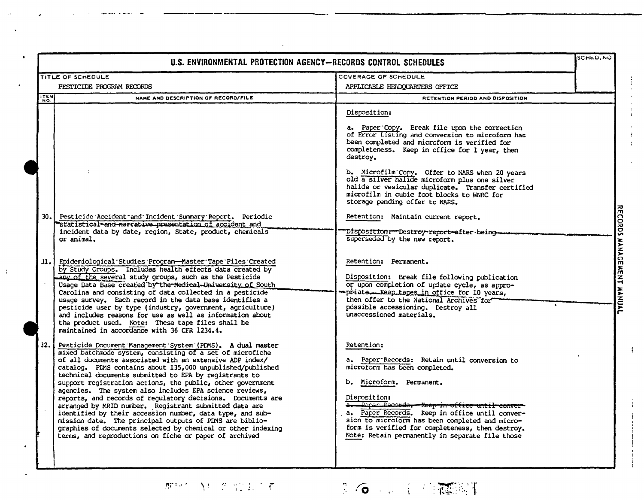| U.S. ENVIRONMENTAL PROTECTION AGENCY-RECORDS CONTROL SCHEDULES |                                                                                                                                                                                                                                                                                                                                                                                                                                                                                                                                                                                                                                                                                                                                                                                                                 |                                                                                                                                                                                                                                                                                                                                                                                                                                                                                                                                                                                                                                                                                                                                                                                                                                                                                    |                                                       |
|----------------------------------------------------------------|-----------------------------------------------------------------------------------------------------------------------------------------------------------------------------------------------------------------------------------------------------------------------------------------------------------------------------------------------------------------------------------------------------------------------------------------------------------------------------------------------------------------------------------------------------------------------------------------------------------------------------------------------------------------------------------------------------------------------------------------------------------------------------------------------------------------|------------------------------------------------------------------------------------------------------------------------------------------------------------------------------------------------------------------------------------------------------------------------------------------------------------------------------------------------------------------------------------------------------------------------------------------------------------------------------------------------------------------------------------------------------------------------------------------------------------------------------------------------------------------------------------------------------------------------------------------------------------------------------------------------------------------------------------------------------------------------------------|-------------------------------------------------------|
|                                                                | TITLE OF SCHEDULE                                                                                                                                                                                                                                                                                                                                                                                                                                                                                                                                                                                                                                                                                                                                                                                               | COVERAGE OF SCHEDULE                                                                                                                                                                                                                                                                                                                                                                                                                                                                                                                                                                                                                                                                                                                                                                                                                                                               |                                                       |
|                                                                | PESTICIDE PROGRAM RECORDS                                                                                                                                                                                                                                                                                                                                                                                                                                                                                                                                                                                                                                                                                                                                                                                       | APPLICABLE HEADQUARTERS OFFICE                                                                                                                                                                                                                                                                                                                                                                                                                                                                                                                                                                                                                                                                                                                                                                                                                                                     |                                                       |
| <b>ITEM</b>                                                    | NAME AND DESCRIPTION OF RECORD/FILE                                                                                                                                                                                                                                                                                                                                                                                                                                                                                                                                                                                                                                                                                                                                                                             | RETENTION PERIOD AND DISPOSITION                                                                                                                                                                                                                                                                                                                                                                                                                                                                                                                                                                                                                                                                                                                                                                                                                                                   |                                                       |
| 30.1<br>ا .11                                                  | Pesticide Accident and Incident Summary Report. Periodic<br>"statistical-and-narrative presentation of accident and<br>incident data by date, region, State, product, chemicals<br>or animal.<br>Epidemiological Studies Program-Master Tape Files Created<br>by Study Groups. Includes health effects data created by<br>any of the several study groups, such as the Pesticide<br>Usage Data Base created by the Medical University of South<br>Carolina and consisting of data collected in a pesticide<br>usage survey. Each record in the data base identifies a<br>pesticide user by type (industry, government, agriculture)<br>and includes reasons for use as well as information about<br>the product used. Note: These tape files shall be<br>maintained in accordance with 36 CFR 1234.4.           | Disposition:<br>a. Paper Copy. Break file upon the correction<br>of Error Listing and conversion to microform has<br>been completed and microform is verified for<br>completeness. Keep in office for 1 year, then<br>destroy.<br>b. Microfilm Copy. Offer to NARS when 20 years<br>old a silver halide microform plus one silver<br>halide or vesicular duplicate. Transfer certified<br>microfilm in cubic foot blocks to WNRC for<br>storage pending offer to NARS.<br>Retention: Maintain current report.<br>Disposition :-- Destroy-report-after-being-<br>superseded by the new report.<br>Retention: Permanent.<br>Disposition: Break file following publication<br>or upon completion of update cycle, as appro-<br>priate Keep tapes in office for 10 years,<br>then offer to the National Archives for<br>possible accessioning. Destroy all<br>unaccessioned materials. | <b>RECORDS</b><br><b>HANAGE</b><br><b>MENT MANUAL</b> |
| 32.1                                                           | Pesticide Document Management System (PDMS). A dual master<br>mixed batchmode system, consisting of a set of microfiche<br>of all documents associated with an extensive ADP index/<br>catalog. PDMS contains about 135,000 unpublished/published<br>technical documents submitted to EPA by registrants to<br>support registration actions, the public, other government<br>agencies. The system also includes EPA science reviews,<br>reports, and records of regulatory decisions. Documents are<br>arranged by MRID number. Registrant submitted data are<br>identified by their accession number, data type, and sub-<br>mission date. The principal outputs of PDMS are biblio-<br>graphies of documents selected by chemical or other indexing<br>terms, and reproductions on fiche or paper of archived | Retention:<br>a. Paper Records: Retain until conversion to<br>microform has been completed.<br>b. Microform. Permanent.<br>Disposition:<br>a. Paper Recorde. Keep in office until conver-<br>a. Paper Records. Keep in office until conver-<br>sion to microform has been completed and micro-<br>form is verified for completeness, then destroy.<br>Note: Retain permanently in separate file those                                                                                                                                                                                                                                                                                                                                                                                                                                                                              |                                                       |

那树入口的加长了那

NWMIL

 $\mathbf{1}$ 



 $\sqrt{2}$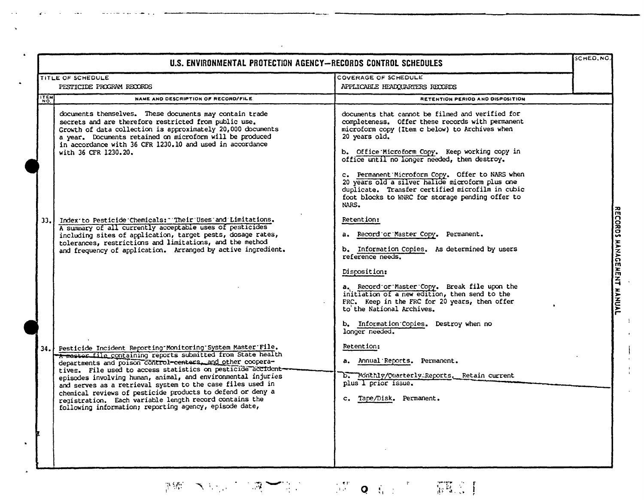|                                                                                                                                                                                                                                                                                                                                 | COVERAGE OF SCHEDULE                                                                                                                                                                                                                                                      |  |
|---------------------------------------------------------------------------------------------------------------------------------------------------------------------------------------------------------------------------------------------------------------------------------------------------------------------------------|---------------------------------------------------------------------------------------------------------------------------------------------------------------------------------------------------------------------------------------------------------------------------|--|
| TITLE OF SCHEDULE<br>PESTICIDE PROGRAM RECORDS                                                                                                                                                                                                                                                                                  | APPLICABLE HEADQUARTERS RECORDS                                                                                                                                                                                                                                           |  |
| NAME AND DESCRIPTION OF RECORD/FILE                                                                                                                                                                                                                                                                                             | RETENTION PERIOD AND DISPOSITION                                                                                                                                                                                                                                          |  |
| documents themselves. These documents may contain trade<br>secrets and are therefore restricted from public use.<br>Growth of data collection is approximately 20,000 documents<br>a year. Documents retained on microform will be produced<br>in accordance with 36 CFR 1230.10 and used in accordance<br>with 36 CFR 1230.20. | documents that cannot be filmed and verified for<br>completeness. Offer these records with permanent<br>microform copy (Item c below) to Archives when<br>20 years old.<br>b. Office Microform Copy. Keep working copy in<br>office until no longer needed, then destroy. |  |
|                                                                                                                                                                                                                                                                                                                                 | c. Permanent Microform Copy. Offer to NARS when<br>20 years old a silver halide microform plus one<br>duplicate. Transfer certified microfilm in cubic<br>foot blocks to WNRC for storage pending offer to<br>NARS.                                                       |  |
| Index to Pesticide Chemicals: "Their Uses and Limitations.<br>A summary of all currently acceptable uses of pesticides                                                                                                                                                                                                          | Retention:                                                                                                                                                                                                                                                                |  |
| including sites of application, target pests, dosage rates,                                                                                                                                                                                                                                                                     | a. Record or Master Copy. Permanent.                                                                                                                                                                                                                                      |  |
| tolerances, restrictions and limitations, and the method<br>and frequency of application. Arranged by active ingredient.                                                                                                                                                                                                        | b. Information Copies. As determined by users<br>reference needs.                                                                                                                                                                                                         |  |
|                                                                                                                                                                                                                                                                                                                                 | Disposition:                                                                                                                                                                                                                                                              |  |
|                                                                                                                                                                                                                                                                                                                                 | a. Record or Master Copy. Break file upon the<br>initiation of a new edition, then send to the<br>FRC. Keep in the FRC for 20 years, then offer<br>to the National Archives.                                                                                              |  |
|                                                                                                                                                                                                                                                                                                                                 | b. Information Copies. Destroy when no<br>longer needed.                                                                                                                                                                                                                  |  |
| Pesticide Incident Reporting Monitoring System Master File.<br>A master file containing reports submitted from State health                                                                                                                                                                                                     | Retention:                                                                                                                                                                                                                                                                |  |
| departments and poison control-centers, and other coopera-<br>tives. File used to access statistics on pesticide accident-                                                                                                                                                                                                      | a. Annual Reports. Permanent.                                                                                                                                                                                                                                             |  |
| episodes involving human, animal, and environmental injuries                                                                                                                                                                                                                                                                    | b. Monthly/Quarterly Reports. Retain current<br>plus 1 prior issue.                                                                                                                                                                                                       |  |
| and serves as a retrieval system to the case files used in<br>chemical reviews of pesticide products to defend or deny a                                                                                                                                                                                                        |                                                                                                                                                                                                                                                                           |  |
| registration. Each variable length record contains the<br>following information; reporting agency, episode date,                                                                                                                                                                                                                | c. Tape/Disk. Permanent.                                                                                                                                                                                                                                                  |  |
|                                                                                                                                                                                                                                                                                                                                 |                                                                                                                                                                                                                                                                           |  |
|                                                                                                                                                                                                                                                                                                                                 |                                                                                                                                                                                                                                                                           |  |

 $\bar{V}$ 

 $\mathcal{A}$ 

 $\mathcal{L}^{\pm}$ 

NWML

 $\tilde{\mathbf{z}}$  .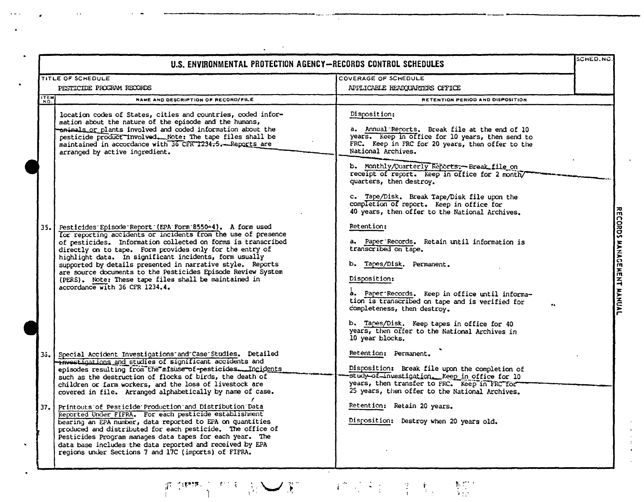|      | U.S. ENVIRONMENTAL PROTECTION AGENCY-RECORDS CONTROL SCHEDULES                                                                                                                                                                                                                                                                                                                                                                                                                                                                           |                                                                                                                                                                                                                                                                                                                                                                                                                                           | SCHED.NC                  |
|------|------------------------------------------------------------------------------------------------------------------------------------------------------------------------------------------------------------------------------------------------------------------------------------------------------------------------------------------------------------------------------------------------------------------------------------------------------------------------------------------------------------------------------------------|-------------------------------------------------------------------------------------------------------------------------------------------------------------------------------------------------------------------------------------------------------------------------------------------------------------------------------------------------------------------------------------------------------------------------------------------|---------------------------|
|      | <b>TITLE OF SCHEDULE</b>                                                                                                                                                                                                                                                                                                                                                                                                                                                                                                                 | COVERAGE OF SCHEDULE                                                                                                                                                                                                                                                                                                                                                                                                                      |                           |
|      | PESTICIDE PROGRAM RECORDS                                                                                                                                                                                                                                                                                                                                                                                                                                                                                                                | APPLICABLE HEADQUARTERS OFFICE                                                                                                                                                                                                                                                                                                                                                                                                            |                           |
| ITEM | NAME AND DESCRIPTION OF RECORD/FILE                                                                                                                                                                                                                                                                                                                                                                                                                                                                                                      | RETENTION PERIOD AND DISPOSITION                                                                                                                                                                                                                                                                                                                                                                                                          |                           |
|      | location codes of States, cities and countries, coded infor-<br>mation about the nature of the episode and the humans,<br>animals or plants involved and coded information about the<br>pesticide product involved. Note: The tape files shall be<br>maintained in accordance with 36 CFR 1234-5. Reports are<br>arranged by active ingredient.                                                                                                                                                                                          | Disposition:<br>a. Annual Reports. Break file at the end of 10<br>years. Keep in office for 10 years, then send to<br>FRC. Keep in FRC for 20 years, then offer to the<br>National Archives.<br>b. Monthly/Quarterly Reports :- Break file on<br>receipt of report. Keep in office for 2 month/<br>quarters, then destroy.<br>c. Tape/Disk. Break Tape/Disk file upon the<br>completion of report. Keep in office for                     |                           |
| 35.  | Pesticides Episode Report (EPA Form 8550-4). A form used<br>for reporting accidents or incidents from the use of presence<br>of pesticides. Information collected on forms is transcribed<br>directly on to tape. Form provides only for the entry of<br>highlight data. In significant incidents, form usually<br>supported by details presented in narrative style. Reports<br>are source documents to the Pesticides Episode Review System<br>(PERS). Note: These tape files shall be maintained in<br>accordance with 36 CFR 1234.4. | 40 years, then offer to the National Archives.<br>Retention:<br>a. Paper Records. Retain until information is<br>transcribed on tape.<br>b. Tapes/Disk. Permanent.<br>Disposition:<br>a. Paper Records. Keep in office until informa-<br>tion is transcribed on tape and is verified for<br>completeness, then destroy.<br>b. Tapes/Disk. Keep tapes in office for 40<br>years, then offer to the National Archives in<br>10 year blocks. | RECORDS MANAGEMENT MANUAL |
| 35.  | Special Accident Investigations and Case Studies. Detailed<br>investigations and studies of significant accidents and<br>episodes resulting from the misuse of-pesticides. Incidents<br>such as the destruction of flocks of birds, the death of<br>children or farm workers, and the loss of livestock are<br>covered in file. Arranged alphabetically by name of case.                                                                                                                                                                 | Retention: Permanent.<br>Disposition: Break file upon the completion of<br>study of investigation. Keep in office for 10<br>years, then transfer to FRC. Keep in FRC for<br>25 years, then offer to the National Archives.                                                                                                                                                                                                                |                           |
| 37.  | Printouts of Pesticide Production and Distribution Data<br>Reported Under FIFRA. For each pesticide establishment<br>bearing an EPA number, data reported to EPA on quantities<br>produced and distributed for each pesticide. The office of<br>Pesticides Program manages data tapes for each year. The<br>data base includes the data reported and received by EPA<br>regions under Sections 7 and 17C (imports) of FIFRA.                                                                                                             | Retention: Retain 20 years.<br>Disposition: Destroy when 20 years old.                                                                                                                                                                                                                                                                                                                                                                    |                           |

 $\mathbb{Z}$ 

NWML

 $\mathcal{L}$ 

 $\sim$  .

酒 地槽 2010年1月 → 第1100 → 第224日 → 第244日 → 第25

 $\mathcal{X}^{\pm}$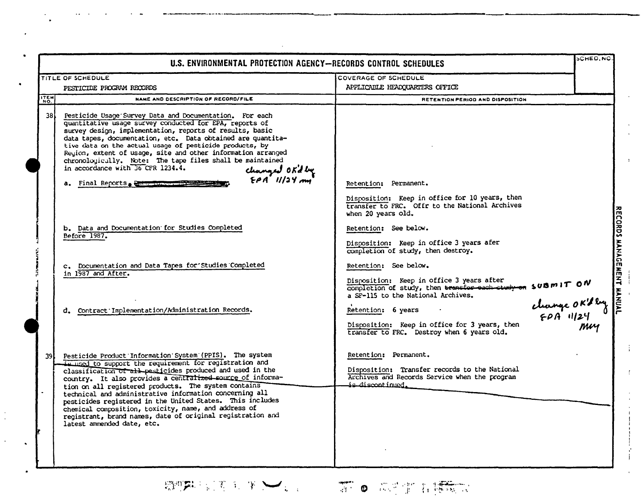| U.S. ENVIRONMENTAL PROTECTION AGENCY-RECORDS CONTROL SCHEDULES |                                                                                                                                                                                                                                                                                                                                                                                                                                                                                                                                                                                                                                                                                                                                                        |                                                                                                                                                                                                                                                                                                                                                                                                                                                                                                                                                 | <b>SCHED, NO</b> |
|----------------------------------------------------------------|--------------------------------------------------------------------------------------------------------------------------------------------------------------------------------------------------------------------------------------------------------------------------------------------------------------------------------------------------------------------------------------------------------------------------------------------------------------------------------------------------------------------------------------------------------------------------------------------------------------------------------------------------------------------------------------------------------------------------------------------------------|-------------------------------------------------------------------------------------------------------------------------------------------------------------------------------------------------------------------------------------------------------------------------------------------------------------------------------------------------------------------------------------------------------------------------------------------------------------------------------------------------------------------------------------------------|------------------|
|                                                                | <b>TITLE OF SCHEDULE</b>                                                                                                                                                                                                                                                                                                                                                                                                                                                                                                                                                                                                                                                                                                                               | COVERAGE OF SCHEDULE                                                                                                                                                                                                                                                                                                                                                                                                                                                                                                                            |                  |
|                                                                | PESTICIDE PROGRAM RECORDS                                                                                                                                                                                                                                                                                                                                                                                                                                                                                                                                                                                                                                                                                                                              | APPLICABLE HEADQUARTERS OFFICE                                                                                                                                                                                                                                                                                                                                                                                                                                                                                                                  |                  |
| ITEM                                                           | NAME AND DESCRIPTION OF RECORD/FILE                                                                                                                                                                                                                                                                                                                                                                                                                                                                                                                                                                                                                                                                                                                    | RETENTION PERIOD AND DISPOSITION                                                                                                                                                                                                                                                                                                                                                                                                                                                                                                                |                  |
| 38 L                                                           | Pesticide Usage Survey Data and Documentation. For each<br>quantitative usage survey conducted for EPA, reports of<br>survey design, implementation, reports of results, basic<br>data tapes, documentation, etc. Data obtained are quantita-<br>tive data on the actual usage of pesticide products, by<br>Reyion, extent of usage, site and other information arranged<br>chronologically. Note: The tape files shall be maintained<br>in accordance with 36 CFR 1234.4.<br>changed OK'd by<br>EPA 11/24 mg<br>a. Final Reports, and reports<br>b. Data and Documentation for Studies Completed<br>Before 1987.<br>c. Documentation and Data Tapes for Studies Completed<br>in 1987 and After.<br>d. Contract Implementation/Administration Records. | Retention: Permanent.<br>Disposition: Keep in office for 10 years, then<br>transfer to FRC. Offr to the National Archives<br>when 20 years old.<br>Retention: See below.<br>Disposition: Keep in office 3 years afer<br>completion of study, then destroy.<br>Retention: See below.<br>Disposition: Keep in office 3 years after<br>Disposition: Reep in office 3 years after<br>a SF-115 to the National Archives.<br>Retention: 6 years<br>Disposition: Keep in office for 3 years, then<br>transfer to FRC. Destroy when 6 years old.<br>Muy |                  |
| 39l                                                            | Pesticide Product Information System (PPIS). The system<br>is used to support the requirement for registration and<br>classification of all pesticides produced and used in the                                                                                                                                                                                                                                                                                                                                                                                                                                                                                                                                                                        | Retention: Permanent.<br>Disposition: Transfer records to the National<br>Archives and Records Service when the program                                                                                                                                                                                                                                                                                                                                                                                                                         |                  |
|                                                                | country. It also provides a centralized source of informa-<br>tion on all registered products. The system contains<br>technical and administrative information concerning all<br>pesticides registered in the United States. This includes<br>chemical composition, toxicity, name, and address of<br>registrant, brand names, date of original registration and<br>latest ammended date, etc.                                                                                                                                                                                                                                                                                                                                                         | is discontinued.                                                                                                                                                                                                                                                                                                                                                                                                                                                                                                                                |                  |

 $\frac{1}{2}$ 

 $\begin{aligned} & \underset{\mathcal{C}_{\text{conv}}}{\text{NWNN}} \underset{\mathcal{C}_{\text{conv}}}{\text{NMM}} \text{L} \end{aligned}$ 

 $\frac{1}{2}$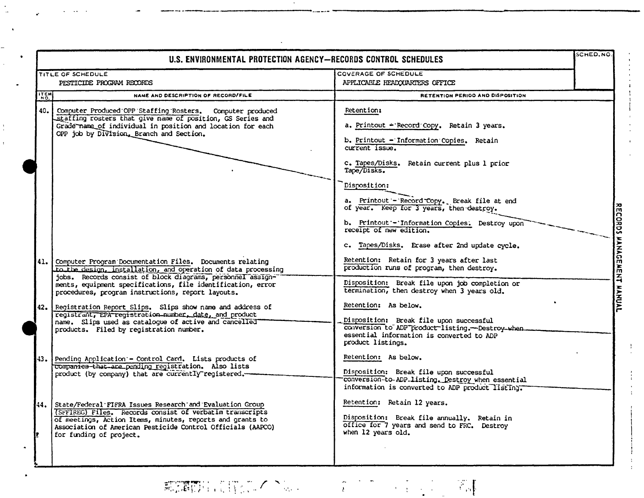| U.S. ENVIRONMENTAL PROTECTION AGENCY-RECORDS CONTROL SCHEDULES |                                                                                                                                                                                                                                                                                                                                                                                                                                                                                | <b>SCHED.NO.</b>                                                                                                                                                                                                                                                                                                                                                                                                                                                                    |  |
|----------------------------------------------------------------|--------------------------------------------------------------------------------------------------------------------------------------------------------------------------------------------------------------------------------------------------------------------------------------------------------------------------------------------------------------------------------------------------------------------------------------------------------------------------------|-------------------------------------------------------------------------------------------------------------------------------------------------------------------------------------------------------------------------------------------------------------------------------------------------------------------------------------------------------------------------------------------------------------------------------------------------------------------------------------|--|
|                                                                | TITLE OF SCHEDULE                                                                                                                                                                                                                                                                                                                                                                                                                                                              | COVERAGE OF SCHEDULE                                                                                                                                                                                                                                                                                                                                                                                                                                                                |  |
|                                                                | PESTICIDE PROGRAM RECORDS                                                                                                                                                                                                                                                                                                                                                                                                                                                      | APPLICABLE HEADQUARTERS OFFICE                                                                                                                                                                                                                                                                                                                                                                                                                                                      |  |
| ITEM                                                           | NAME AND DESCRIPTION OF RECORD/FILE                                                                                                                                                                                                                                                                                                                                                                                                                                            | RETENTION PERIOD AND DISPOSITION                                                                                                                                                                                                                                                                                                                                                                                                                                                    |  |
| 40.<br>41.                                                     | Computer Produced OPP Staffing Rosters. Computer produced<br>staffing rosters that give name of position, GS Series and<br>Grade name of individual in position and location for each<br>OPP job by Division, Branch and Section.<br>Computer Program Documentation Files. Documents relating                                                                                                                                                                                  | <b>Retention:</b><br>a. Printout - Record Copy. Retain 3 years.<br>b. Printout - Information Copies. Retain<br>$current$ issue.<br>c. Tapes/Disks. Retain current plus 1 prior<br>Tape/Disks.<br>Disposition:<br>a. Printout - Record Copy. Break file at end<br>of year. Keep for 3 years, then destroy.<br>b. Printout - Information Copies. Destroy upon<br>receipt of new edition.<br>c. Tapes/Disks. Erase after 2nd update cycle.<br>Retention: Retain for 3 years after last |  |
|                                                                | to the design, installation, and operation of data processing<br>jobs. Records consist of block diagrams, personnel assign-<br>ments, equipment specifications, file identification, error<br>procedures, program instructions, report layouts.<br>42. Registration Report Slips. Slips show name and address of<br>registrant, EPA registration number, date, and product<br>name. Slips used as catalogue of active and cancelled<br>products. Filed by registration number. | production runs of program, then destroy.<br>Disposition: Break file upon job completion or<br>termination, then destroy when 3 years old.<br>Retention: As below.<br>Disposition: Break file upon successful<br>conversion to ADP product listing. - Destroy when.<br>essential information is converted to ADP<br>product listings.                                                                                                                                               |  |
|                                                                | 43. Pending Application - Control Card. Lists products of<br>companies that are pending registration. Also lists<br>product (by company) that are currently registered.                                                                                                                                                                                                                                                                                                        | Retention: As below.<br>Disposition: Break file upon successful<br>conversion-to-ADP-listing. Destroy when essential<br>information is converted to ADP product listing.                                                                                                                                                                                                                                                                                                            |  |
| It.                                                            | 44. State/Federal FIFRA Issues Research and Evaluation Group<br>(SFFIREG) Files. Records consist of verbatim transcripts<br>of meetings, Action Items, minutes, reports and grants to<br>Association of American Pesticide Control Officials (AAPCO)<br>for funding of project.                                                                                                                                                                                                | Retention: Retain 12 years.<br>Disposition: Break file annually. Retain in<br>office for 7 years and send to FRC. Destroy<br>when 12 years old.                                                                                                                                                                                                                                                                                                                                     |  |

## **和调的**, (学部/人工)。

NWWIL

 $\label{eq:3.1} \begin{array}{ll} \mathcal{N}_{\text{eff}} & \mathcal{N}_{\text{eff}} \\ \mathcal{N}_{\text{eff}} & \mathcal{N}_{\text{eff}} \end{array}$ 

 $\frac{1}{2} \left( \frac{1}{2} \frac{1}{2} \right)$ 

 $\frac{1}{k}$ 

-1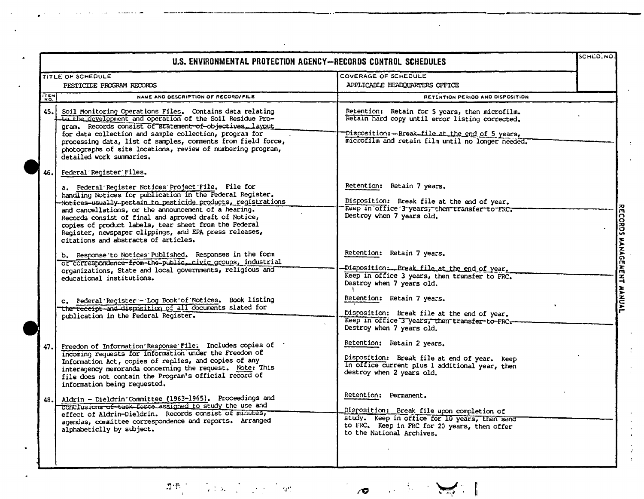| U.S. ENVIRONMENTAL PROTECTION AGENCY-RECORDS CONTROL SCHEDULES |                                                                                                                                                                                                                                                                                                                                                                                                                                                                                                                                                                                                                                                                                                                                                                                                                                                                          |                                                                                                                                                                                                                                                                                                                                                                                                                                                                               | SCHED.NO.                 |
|----------------------------------------------------------------|--------------------------------------------------------------------------------------------------------------------------------------------------------------------------------------------------------------------------------------------------------------------------------------------------------------------------------------------------------------------------------------------------------------------------------------------------------------------------------------------------------------------------------------------------------------------------------------------------------------------------------------------------------------------------------------------------------------------------------------------------------------------------------------------------------------------------------------------------------------------------|-------------------------------------------------------------------------------------------------------------------------------------------------------------------------------------------------------------------------------------------------------------------------------------------------------------------------------------------------------------------------------------------------------------------------------------------------------------------------------|---------------------------|
|                                                                | TITLE OF SCHEDULE<br>PESTICIDE PROGRAM RECORDS                                                                                                                                                                                                                                                                                                                                                                                                                                                                                                                                                                                                                                                                                                                                                                                                                           | COVERAGE OF SCHEDULE<br>APPLICABLE HEADQUARTERS OFFICE                                                                                                                                                                                                                                                                                                                                                                                                                        |                           |
| $\begin{bmatrix} 1 & 0 \\ 0 & 0 \end{bmatrix}$                 | NAME AND DESCRIPTION OF RECORD/FILE                                                                                                                                                                                                                                                                                                                                                                                                                                                                                                                                                                                                                                                                                                                                                                                                                                      | RETENTION PERIOD AND DISPOSITION                                                                                                                                                                                                                                                                                                                                                                                                                                              |                           |
| 45.                                                            | Soil Monitoring Operations Files. Contains data relating<br>to the development and operation of the Soil Residue Pro-<br>gram. Records consist of statement of objectives, layout<br>for data collection and sample collection, program for<br>processing data, list of samples, comments from field force,<br>photographs of site locations, review of numbering program,<br>detailed work summaries.                                                                                                                                                                                                                                                                                                                                                                                                                                                                   | Retention: Retain for 5 years, then microfilm.<br>Retain hard copy until error listing corrected.<br>Disposition: - Break file at the end of 5 years,<br>microfilm and retain film until no longer needed.                                                                                                                                                                                                                                                                    |                           |
| 46.                                                            | Federal Register Files.<br>a. Federal Register Notices Project File. File for<br>handling Notices for publication in the Federal Register.<br>Notices-usually-pertain to pesticide products, registrations<br>and cancellations, or the announcement of a hearing.<br>Records consist of final and aproved draft of Notice,<br>copies of product labels, tear sheet from the Federal<br>Register, newspaper clippings, and EPA press releases,<br>citations and abstracts of articles.<br>b. Response to Notices Published. Responses in the form<br>of correspondence-from-the-public, civic groups, industrial<br>organizations, State and local governments, religious and<br>educational institutions.<br>c. Federal Register - Log Book of Notices. Book listing<br>the receipt and disposition of all documents slated for<br>publication in the Federal Register. | Retention: Retain 7 years.<br>Disposition: Break file at the end of year.<br>Keep in office 3 years, then transfer to FRC.<br>Destroy when 7 years old.<br>Retention: Retain 7 years.<br>Disposition: Break file at the end of year.<br>Keep in office 3 years, then transfer to FRC.<br>Destroy when 7 years old.<br>Retention: Retain 7 years.<br>Disposition: Break file at the end of year.<br>Keep in office 3 years, then transfer to FRC.<br>Destroy when 7 years old. | RECORDS MANAGEMENT MANUAL |
| 47.                                                            | Freedom of Information Response File: Includes copies of '<br>Incoming requests for information under the Freedom of<br>Information Act, copies of replies, and copies of any<br>interagency memoranda concerning the request. Note: This<br>file does not contain the Program's official record of<br>information being requested.                                                                                                                                                                                                                                                                                                                                                                                                                                                                                                                                      | Retention: Retain 2 years.<br>Disposition: Break file at end of year. Keep<br>in office current plus 1 additional year, then<br>destroy when 2 years old.                                                                                                                                                                                                                                                                                                                     |                           |
| 48.                                                            | Aldrin - Dieldrin Committee (1963-1965). Proceedings and<br>conclusions of task force assigned to study the use and<br>effect of Aldrin-Dieldrin. Records consist of minutes,<br>agendas, committee correspondence and reports. Arranged<br>alphabeticlly by subject.                                                                                                                                                                                                                                                                                                                                                                                                                                                                                                                                                                                                    | Retention: Permanent.<br>Disposition: Break file upon completion of<br>study. Keep in office for 10 years, then send<br>to FRC. Keep in FRC for 20 years, then offer<br>to the National Archives.                                                                                                                                                                                                                                                                             |                           |

#### $\label{eq:Riccati} \prod_{i=1}^n \frac{\partial \mathbf{E}_i}{\partial \mathbf{E}_i} \leq 1.$  $\label{eq:2.1} \frac{1}{2} \sum_{i=1}^n \left( \frac{1}{2} \sum_{i=1}^n \frac{1}{2} \sum_{i=1}^n \frac{1}{2} \sum_{i=1}^n \frac{1}{2} \sum_{i=1}^n \frac{1}{2} \sum_{i=1}^n \frac{1}{2} \sum_{i=1}^n \frac{1}{2} \sum_{i=1}^n \frac{1}{2} \sum_{i=1}^n \frac{1}{2} \sum_{i=1}^n \frac{1}{2} \sum_{i=1}^n \frac{1}{2} \sum_{i=1}^n \frac{1}{2} \sum_{i=1}^n$

NWWIL

第三章  $\overline{\mathcal{O}}$ 

 $\frac{1}{2}$ 

 $\frac{1}{4}$ 

ŧ.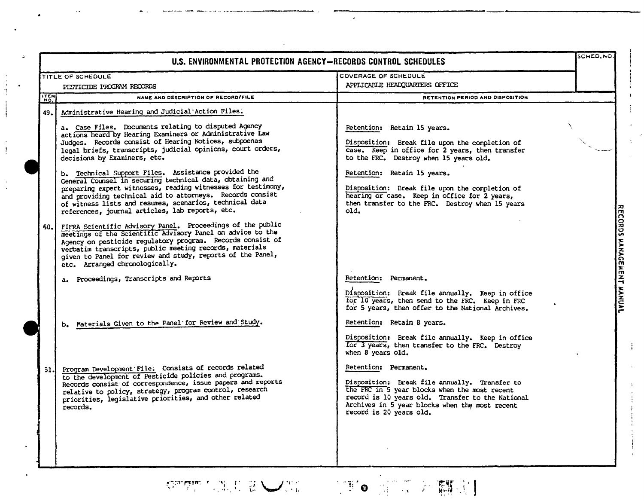|      | U.S. ENVIRONMENTAL PROTECTION AGENCY-RECORDS CONTROL SCHEDULES                                                                                                                                                                                                                                                                                                                               |                                                                                                                                                                                                                                                          |  |                           |
|------|----------------------------------------------------------------------------------------------------------------------------------------------------------------------------------------------------------------------------------------------------------------------------------------------------------------------------------------------------------------------------------------------|----------------------------------------------------------------------------------------------------------------------------------------------------------------------------------------------------------------------------------------------------------|--|---------------------------|
|      | TITLE OF SCHEDULE                                                                                                                                                                                                                                                                                                                                                                            | <b>COVERAGE OF SCHEDULE</b>                                                                                                                                                                                                                              |  |                           |
|      | PESTICIDE PROGRAM RECORDS                                                                                                                                                                                                                                                                                                                                                                    | APPLICABLE HEADQUARTERS OFFICE                                                                                                                                                                                                                           |  |                           |
| ITEM | NAME AND DESCRIPTION OF RECORD/FILE                                                                                                                                                                                                                                                                                                                                                          | RETENTION PERIOD AND DISPOSITION                                                                                                                                                                                                                         |  |                           |
| 49.  | Administrative Hearing and Judicial Action Files.                                                                                                                                                                                                                                                                                                                                            |                                                                                                                                                                                                                                                          |  |                           |
|      | a. Case Files. Documents relating to disputed Agency<br>actions heard by Hearing Examiners or Administrative Law<br>Judges. Records consist of Hearing Notices, subpoenas<br>legal briefs, transcripts, judicial opinions, court orders,<br>decisions by Examiners, etc.<br>b. Technical Support Files. Assistance provided the<br>General Counsel in securing technical data, obtaining and | Retention: Retain 15 years.<br>Disposition: Break file upon the completion of<br>case. Keep in office for 2 years, then transfer<br>to the FRC. Destroy when 15 years old.<br>Retention: Retain 15 years.                                                |  |                           |
|      | preparing expert witnesses, reading witnesses for testimony,<br>and providing technical aid to attorneys. Records consist<br>of witness lists and resumes, scenarios, technical data<br>references, journal articles, lab reports, etc.                                                                                                                                                      | Disposition: Break file upon the completion of<br>hearing or case. Keep in office for 2 years,<br>then transfer to the FRC. Destroy when 15 years<br>old.                                                                                                |  |                           |
| 50.1 | FIFRA Scientific Advisory Panel. Proceedings of the public<br>meetings of the Scientific Advisory Panel on advice to the<br>Agency on pesticide regulatory program. Records consist of<br>verbatim transcripts, public meeting records, materials<br>given to Panel for review and study, reports of the Panel,<br>etc. Arranged chronologically.                                            |                                                                                                                                                                                                                                                          |  | RECORDS MANAGEMENT MANUAL |
|      | a. Proceedings, Transcripts and Reports                                                                                                                                                                                                                                                                                                                                                      | Retention: Permanent.<br>Disposition: Break file annually. Keep in office<br>for 10 years, then send to the FRC. Keep in FRC<br>for 5 years, then offer to the National Archives.                                                                        |  |                           |
|      | b. Materials Given to the Panel for Review and Study.                                                                                                                                                                                                                                                                                                                                        | Retention: Retain 8 years.                                                                                                                                                                                                                               |  |                           |
|      |                                                                                                                                                                                                                                                                                                                                                                                              | Disposition: Break file annually. Keep in office<br>for 3 years, then transfer to the FRC. Destroy<br>when 8 years old.                                                                                                                                  |  |                           |
| 51.  | Program Development File. Consists of records related<br>to the development of Pesticide policies and programs.<br>Records consist of correspondence, issue papers and reports<br>relative to policy, strategy, program control, research<br>priorities, legislative priorities, and other related<br>records.                                                                               | Retention: Permanent.<br>Disposition: Break file annually. Transfer to<br>the FRC in 5 year blocks when the most recent<br>record is 10 years old. Transfer to the National<br>Archives in 5 year blocks when the most recent<br>record is 20 years old. |  |                           |
|      |                                                                                                                                                                                                                                                                                                                                                                                              |                                                                                                                                                                                                                                                          |  |                           |

 $\mathcal{L}$ 

 $\text{sign}(\text{dim} \mathcal{L}) = \text{sign}(\text{dim} \mathcal{L}) = \text{sign}(\text{dim} \mathcal{L})$ 

NWWIL

 $\frac{1}{2}$ 

 $\frac{1}{2}$ 

 $\ddot{\cdot}$ 

 $\bullet$ 

(1970 河口公嘱定]

Ì.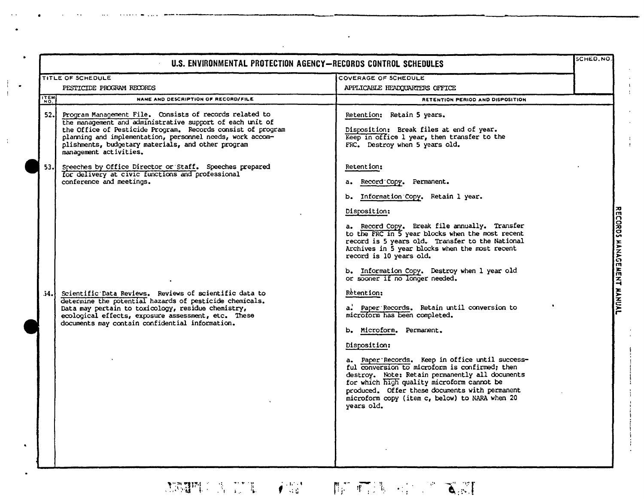| U.S. ENVIRONMENTAL PROTECTION AGENCY-RECORDS CONTROL SCHEDULES |                                                                                                                                                                                                                                                                                                                                  |                                                                                                                                                                                                                                                                                                                                                                                                                                                                 | SCHED, NO. |                           |
|----------------------------------------------------------------|----------------------------------------------------------------------------------------------------------------------------------------------------------------------------------------------------------------------------------------------------------------------------------------------------------------------------------|-----------------------------------------------------------------------------------------------------------------------------------------------------------------------------------------------------------------------------------------------------------------------------------------------------------------------------------------------------------------------------------------------------------------------------------------------------------------|------------|---------------------------|
|                                                                | TITLE OF SCHEDULE                                                                                                                                                                                                                                                                                                                | COVERAGE OF SCHEDULE                                                                                                                                                                                                                                                                                                                                                                                                                                            |            |                           |
| PESTICIDE PROGRAM RECORDS                                      |                                                                                                                                                                                                                                                                                                                                  | APPLICABLE HEADQUARTERS OFFICE                                                                                                                                                                                                                                                                                                                                                                                                                                  |            |                           |
| <b>TEM</b>                                                     | NAME AND DESCRIPTION OF RECORD/FILE                                                                                                                                                                                                                                                                                              | RETENTION PERIOD AND DISPOSITION                                                                                                                                                                                                                                                                                                                                                                                                                                |            |                           |
| 52.1                                                           | Program Management File. Consists of records related to<br>the management and administrative support of each unit of<br>the Office of Pesticide Program. Records consist of program<br>planning and implementation, personnel needs, work accom-<br>plishments, budgetary materials, and other program<br>management activities. | Retention: Retain 5 years.<br>Disposition: Break files at end of year.<br>Keep in office 1 year, then transfer to the<br>FRC. Destroy when 5 years old.                                                                                                                                                                                                                                                                                                         |            |                           |
| 53.                                                            | Speeches by Office Director or Staff. Speeches prepared<br>for delivery at civic functions and professional<br>conference and meetings.                                                                                                                                                                                          | Retention:<br>a. Record Copy. Permanent.<br>b. Information Copy. Retain 1 year.<br>Disposition:<br>a. Record Copy. Break file annually. Transfer<br>to the FRC in 5 year blocks when the most recent<br>record is 5 years old. Transfer to the National<br>Archives in 5 year blocks when the most recent<br>record is 10 years old.<br>b. Information Copy. Destroy when 1 year old<br>or sooner if no longer needed.                                          |            | RECORDS MANAGEMENT MANUAL |
| 34.                                                            | Scientific Data Reviews. Reviews of scientific data to<br>determine the potential hazards of pesticide chemicals.<br>Data may pertain to toxicology, residue chemistry,<br>ecological effects, exposure assessment, etc. These<br>documents may contain confidential information.                                                | Retention:<br>a. Paper Records. Retain until conversion to<br>microform has been completed.<br>b. Microform. Permanent.<br>Disposition:<br>a. Paper Records. Keep in office until success-<br>ful conversion to microform is confirmed; then<br>destroy. Note: Retain permanently all documents<br>for which high quality microform cannot be<br>produced. Offer these documents with permanent<br>microform copy (item c, below) to NARA when 20<br>years old. |            |                           |

 $\mathcal{L}_{\mathcal{A}}$ 

 $\begin{array}{c} \frac{1}{2} \\ \frac{1}{2} \end{array}$ 

 $\frac{1}{4}$ 

 $\mathcal{L}_{\mathcal{A}}$ 

 $\label{eq:sum} \underset{\text{convex}}{\text{NWM}}\text{NNIML}$ 

 $\frac{1}{1}$ .

 $\frac{1}{2}$ 

 $\bullet$ 

# **加强性自动地 不能 的可可以** 化单元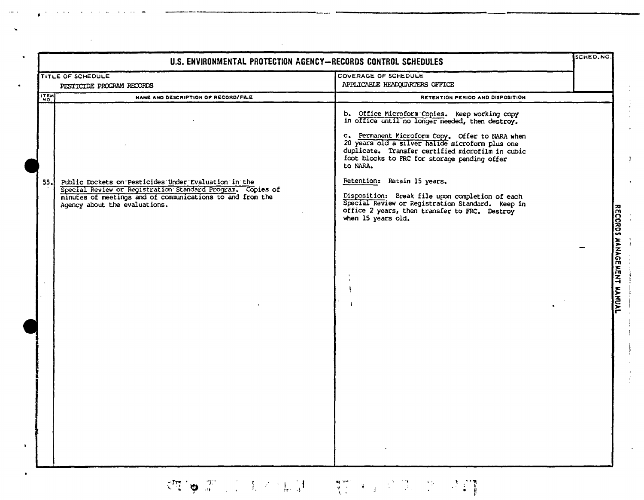| U.S. ENVIRONMENTAL PROTECTION AGENCY-RECORDS CONTROL SCHEDULES |                                                                                                                                                                                                                  | SCHED, NO.                                                                                                                                                                                                                                                                                                             |  |                           |
|----------------------------------------------------------------|------------------------------------------------------------------------------------------------------------------------------------------------------------------------------------------------------------------|------------------------------------------------------------------------------------------------------------------------------------------------------------------------------------------------------------------------------------------------------------------------------------------------------------------------|--|---------------------------|
|                                                                | TITLE OF SCHEDULE                                                                                                                                                                                                | <b>COVERAGE OF SCHEDULE</b>                                                                                                                                                                                                                                                                                            |  |                           |
| PESTICIDE PROGRAM RECORDS                                      |                                                                                                                                                                                                                  | APPLICABLE HEADQUARTERS OFFICE                                                                                                                                                                                                                                                                                         |  |                           |
| ITEM                                                           | NAME AND DESCRIPTION OF RECORD/FILE                                                                                                                                                                              | RETENTION PERIOD AND DISPOSITION                                                                                                                                                                                                                                                                                       |  |                           |
|                                                                |                                                                                                                                                                                                                  | b. Office Microform Copies. Keep working copy<br>in office until no longer needed, then destroy.<br>c. Permanent Microform Copy. Offer to NARA when<br>20 years old a silver halide microform plus one<br>duplicate. Transfer certified microfilm in cubic<br>foot blocks to FRC for storage pending offer<br>to NARA. |  |                           |
| 55.                                                            | Public Dockets on Pesticides Under Evaluation in the<br>Special Review or Registration Standard Program. Copies of<br>minutes of meetings and of communications to and from the<br>Agency about the evaluations. | Retention: Retain 15 years.<br>Disposition: Break file upon completion of each<br>Special Review or Registration Standard. Keep in<br>office 2 years, then transfer to FRC. Destroy<br>when 15 years old.                                                                                                              |  |                           |
|                                                                |                                                                                                                                                                                                                  |                                                                                                                                                                                                                                                                                                                        |  | RECORDS MANAGEMENT MANUAL |
|                                                                |                                                                                                                                                                                                                  |                                                                                                                                                                                                                                                                                                                        |  |                           |

 $\hat{\mathcal{A}}$ 

# 《四》第二章 大不能是 "是"。《三》第二卷 《三

NWMIL

 $\mathbf{r}$ 

 $\mathcal{A}^{\mathcal{A}}$ 

 $\mathbf{I}$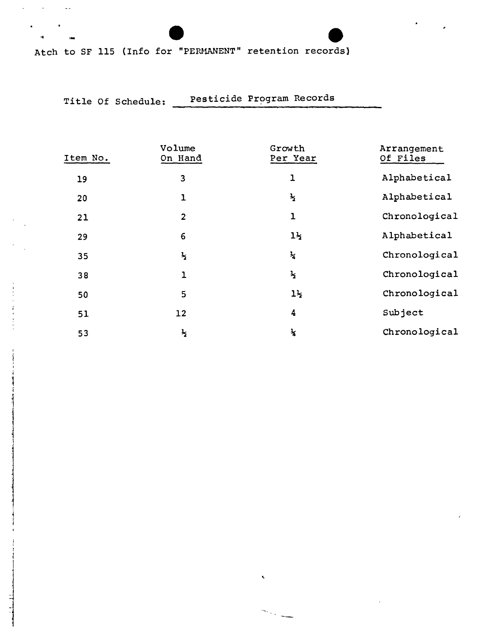NWML

Atch to SF 115 (Info for "PERMANENT" retention records)

co ,..

 $\sim$   $\omega$ 

 $\Delta \sim 1$ 

s.

i  $\mathbf{\bar{F}}$ 1

1 هند لبين الكتاب

j

j

j

### Title Of Schedule: Pesticide Program Records

| Item No. | Volume<br>On Hand | Growth<br>Per Year | Arrangement<br>Of Files |
|----------|-------------------|--------------------|-------------------------|
| 19       | 3                 | ı                  | Alphabetical            |
| 20       | $\mathbf{1}$      | $\frac{1}{2}$      | Alphabetical            |
| 21       | $\overline{2}$    | $\overline{1}$     | Chronological           |
| 29       | 6                 | $1\frac{1}{2}$     | Alphabetical            |
| 35       | $\frac{1}{2}$     | $\frac{1}{4}$      | Chronological           |
| 38       | $\mathbf{1}$      | $\frac{1}{2}$      | Chronological           |
| 50       | 5                 | $1\frac{1}{2}$     | Chronological           |
| 51       | 12                | 4                  | Subject                 |
| 53       | $\frac{1}{2}$     | $\mathbf{r}$       | Chronological           |

k.

 $\mathcal{S}_{\mathcal{D}_{\mathcal{A}}^{\mathcal{D}}\mathcal{A}_{\mathcal{B}}^{\mathcal{D}}\mathcal{A}_{\mathcal{B}}^{\mathcal{D}}$